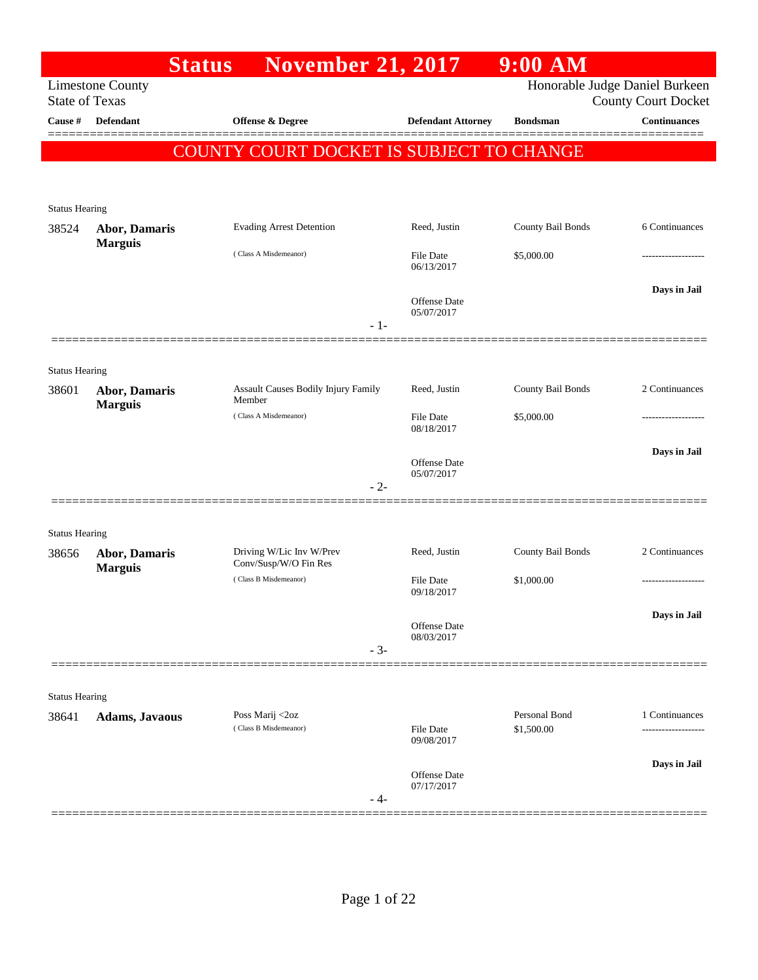|                                |                         | <b>Status</b> | <b>November 21, 2017</b>                          |       |                                   | 9:00 AM           |                                                              |
|--------------------------------|-------------------------|---------------|---------------------------------------------------|-------|-----------------------------------|-------------------|--------------------------------------------------------------|
| <b>State of Texas</b>          | <b>Limestone County</b> |               |                                                   |       |                                   |                   | Honorable Judge Daniel Burkeen<br><b>County Court Docket</b> |
| Cause #                        | Defendant               |               | Offense & Degree                                  |       | <b>Defendant Attorney</b>         | <b>Bondsman</b>   | <b>Continuances</b>                                          |
|                                |                         |               | COUNTY COURT DOCKET IS SUBJECT TO CHANGE          |       |                                   |                   |                                                              |
|                                |                         |               |                                                   |       |                                   |                   |                                                              |
| <b>Status Hearing</b>          |                         |               |                                                   |       |                                   |                   |                                                              |
| 38524                          | Abor, Damaris           |               | <b>Evading Arrest Detention</b>                   |       | Reed, Justin                      | County Bail Bonds | 6 Continuances                                               |
|                                | <b>Marguis</b>          |               | (Class A Misdemeanor)                             |       | <b>File Date</b><br>06/13/2017    | \$5,000.00        |                                                              |
|                                |                         |               |                                                   | $-1-$ | <b>Offense Date</b><br>05/07/2017 |                   | Days in Jail                                                 |
|                                |                         |               |                                                   |       |                                   |                   |                                                              |
| <b>Status Hearing</b><br>38601 | <b>Abor, Damaris</b>    |               | Assault Causes Bodily Injury Family<br>Member     |       | Reed, Justin                      | County Bail Bonds | 2 Continuances                                               |
|                                | <b>Marguis</b>          |               | (Class A Misdemeanor)                             |       | <b>File Date</b><br>08/18/2017    | \$5,000.00        |                                                              |
|                                |                         |               |                                                   | $-2-$ | Offense Date<br>05/07/2017        |                   | Days in Jail                                                 |
|                                |                         |               |                                                   |       |                                   |                   |                                                              |
| <b>Status Hearing</b><br>38656 | <b>Abor, Damaris</b>    |               | Driving W/Lic Inv W/Prev<br>Conv/Susp/W/O Fin Res |       | Reed, Justin                      | County Bail Bonds | 2 Continuances                                               |
|                                | <b>Marguis</b>          |               | (Class B Misdemeanor)                             |       | <b>File Date</b><br>09/18/2017    | \$1,000.00        | .                                                            |
|                                |                         |               |                                                   | $-3-$ | Offense Date<br>08/03/2017        |                   | Days in Jail                                                 |
|                                |                         |               |                                                   |       |                                   |                   |                                                              |
| <b>Status Hearing</b>          |                         |               |                                                   |       |                                   | Personal Bond     |                                                              |
| 38641                          | <b>Adams, Javaous</b>   |               | Poss Marij <2oz<br>(Class B Misdemeanor)          |       | <b>File Date</b><br>09/08/2017    | \$1,500.00        | 1 Continuances                                               |
|                                |                         |               |                                                   | - 4-  | Offense Date<br>07/17/2017        |                   | Days in Jail                                                 |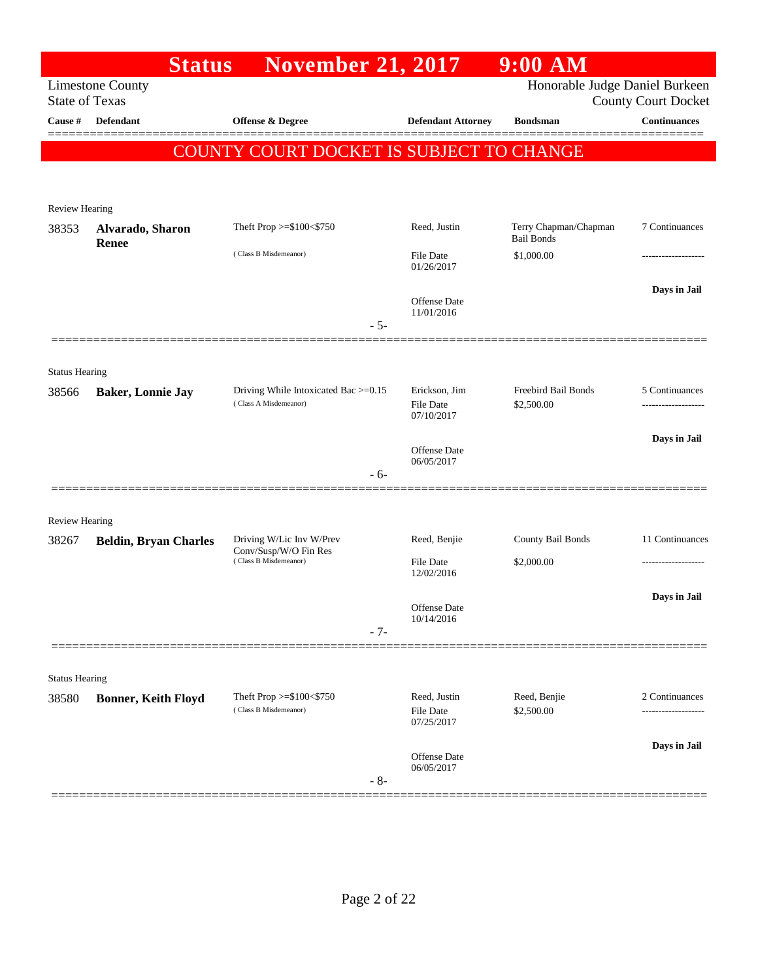|                                | <b>Status</b>                | <b>November 21, 2017</b>                                      |                                                 | $9:00$ AM                                  |                            |
|--------------------------------|------------------------------|---------------------------------------------------------------|-------------------------------------------------|--------------------------------------------|----------------------------|
| <b>State of Texas</b>          | <b>Limestone County</b>      |                                                               |                                                 | Honorable Judge Daniel Burkeen             | <b>County Court Docket</b> |
| Cause #                        | <b>Defendant</b>             | <b>Offense &amp; Degree</b>                                   | <b>Defendant Attorney</b>                       | <b>Bondsman</b>                            | <b>Continuances</b>        |
|                                |                              | COUNTY COURT DOCKET IS SUBJECT TO CHANGE                      |                                                 |                                            |                            |
| <b>Review Hearing</b>          |                              |                                                               |                                                 |                                            |                            |
| 38353                          | Alvarado, Sharon<br>Renee    | Theft Prop $>= $100 < $750$                                   | Reed, Justin                                    | Terry Chapman/Chapman<br><b>Bail Bonds</b> | 7 Continuances             |
|                                |                              | (Class B Misdemeanor)                                         | <b>File Date</b><br>01/26/2017                  | \$1,000.00                                 | .                          |
|                                |                              | $-5-$                                                         | <b>Offense Date</b><br>11/01/2016               |                                            | Days in Jail               |
|                                |                              |                                                               |                                                 |                                            |                            |
| <b>Status Hearing</b><br>38566 | <b>Baker, Lonnie Jay</b>     | Driving While Intoxicated Bac >=0.15<br>(Class A Misdemeanor) | Erickson, Jim<br><b>File Date</b>               | Freebird Bail Bonds<br>\$2,500.00          | 5 Continuances             |
|                                |                              | $-6-$                                                         | 07/10/2017<br><b>Offense Date</b><br>06/05/2017 |                                            | Days in Jail               |
|                                |                              |                                                               |                                                 |                                            |                            |
| <b>Review Hearing</b>          |                              |                                                               |                                                 |                                            |                            |
| 38267                          | <b>Beldin, Bryan Charles</b> | Driving W/Lic Inv W/Prev<br>Conv/Susp/W/O Fin Res             | Reed, Benjie                                    | County Bail Bonds                          | 11 Continuances            |
|                                |                              | (Class B Misdemeanor)                                         | <b>File Date</b><br>12/02/2016                  | \$2,000.00                                 |                            |
|                                |                              |                                                               | Offense Date<br>10/14/2016                      |                                            | Days in Jail               |
|                                |                              | $-7-$                                                         |                                                 |                                            |                            |
| <b>Status Hearing</b>          |                              |                                                               |                                                 |                                            |                            |
| 38580                          | <b>Bonner, Keith Floyd</b>   | Theft Prop >=\$100<\$750<br>(Class B Misdemeanor)             | Reed, Justin<br><b>File Date</b><br>07/25/2017  | Reed, Benjie<br>\$2,500.00                 | 2 Continuances             |
|                                |                              | $-8-$                                                         | Offense Date<br>06/05/2017                      |                                            | Days in Jail               |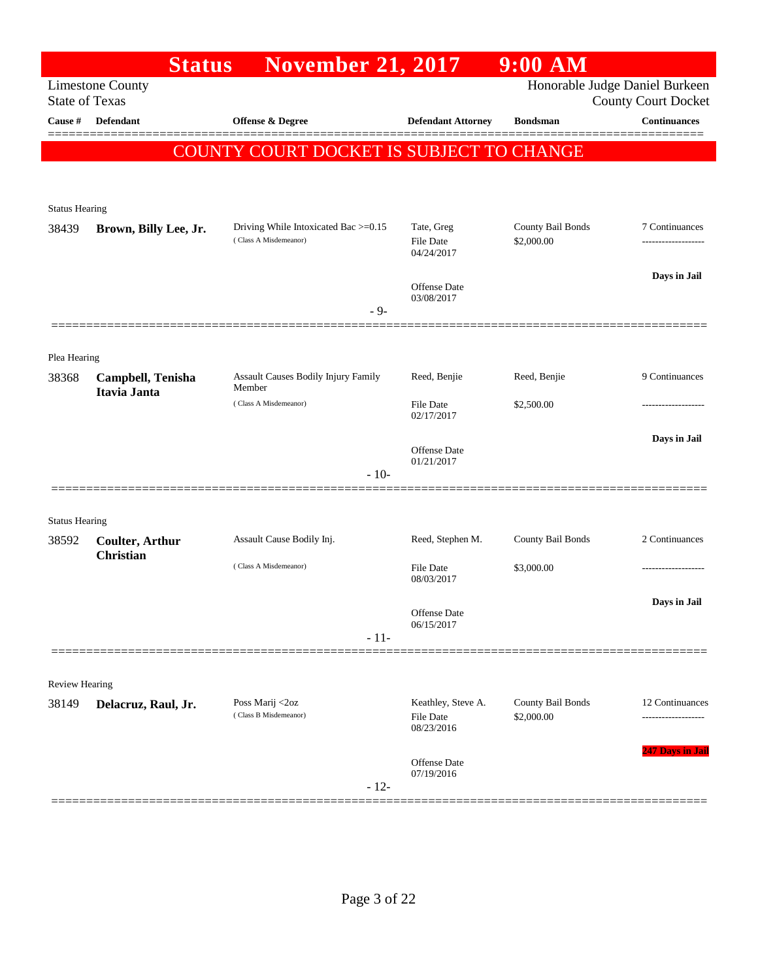|                       | <b>Status</b>                              | <b>November 21, 2017</b>                                      |                                                      | $9:00$ AM                       |                                    |
|-----------------------|--------------------------------------------|---------------------------------------------------------------|------------------------------------------------------|---------------------------------|------------------------------------|
| <b>State of Texas</b> | <b>Limestone County</b>                    |                                                               |                                                      | Honorable Judge Daniel Burkeen  | <b>County Court Docket</b>         |
| Cause #               | <b>Defendant</b>                           | <b>Offense &amp; Degree</b>                                   | <b>Defendant Attorney</b>                            | <b>Bondsman</b>                 | <b>Continuances</b><br>======      |
|                       |                                            | COUNTY COURT DOCKET IS SUBJECT TO CHANGE                      |                                                      |                                 |                                    |
|                       |                                            |                                                               |                                                      |                                 |                                    |
| <b>Status Hearing</b> |                                            |                                                               |                                                      |                                 |                                    |
| 38439                 | Brown, Billy Lee, Jr.                      | Driving While Intoxicated Bac >=0.15<br>(Class A Misdemeanor) | Tate, Greg<br>File Date                              | County Bail Bonds<br>\$2,000.00 | 7 Continuances<br>---------------- |
|                       |                                            |                                                               | 04/24/2017                                           |                                 |                                    |
|                       |                                            |                                                               | <b>Offense Date</b>                                  |                                 | Days in Jail                       |
|                       |                                            | $-9-$                                                         | 03/08/2017                                           |                                 |                                    |
|                       |                                            |                                                               |                                                      |                                 |                                    |
| Plea Hearing          |                                            | Assault Causes Bodily Injury Family                           | Reed, Benjie                                         | Reed, Benjie                    | 9 Continuances                     |
| 38368                 | Campbell, Tenisha<br>Itavia Janta          | Member                                                        |                                                      |                                 |                                    |
|                       |                                            | (Class A Misdemeanor)                                         | <b>File Date</b><br>02/17/2017                       | \$2,500.00                      | .                                  |
|                       |                                            |                                                               | Offense Date                                         |                                 | Days in Jail                       |
|                       |                                            | $-10-$                                                        | 01/21/2017                                           |                                 |                                    |
|                       |                                            |                                                               |                                                      |                                 |                                    |
| <b>Status Hearing</b> |                                            |                                                               |                                                      |                                 |                                    |
| 38592                 | <b>Coulter, Arthur</b><br><b>Christian</b> | Assault Cause Bodily Inj.                                     | Reed, Stephen M.                                     | County Bail Bonds               | 2 Continuances                     |
|                       |                                            | (Class A Misdemeanor)                                         | <b>File Date</b><br>08/03/2017                       | \$3,000.00                      | .                                  |
|                       |                                            |                                                               |                                                      |                                 | Days in Jail                       |
|                       |                                            | $-11-$                                                        | Offense Date<br>06/15/2017                           |                                 |                                    |
|                       |                                            |                                                               |                                                      |                                 |                                    |
| Review Hearing        |                                            |                                                               |                                                      |                                 |                                    |
| 38149                 | Delacruz, Raul, Jr.                        | Poss Marij <2oz<br>(Class B Misdemeanor)                      | Keathley, Steve A.<br><b>File Date</b><br>08/23/2016 | County Bail Bonds<br>\$2,000.00 | 12 Continuances                    |
|                       |                                            | $-12-$                                                        | Offense Date<br>07/19/2016                           |                                 | <b>247 Days in Jail</b>            |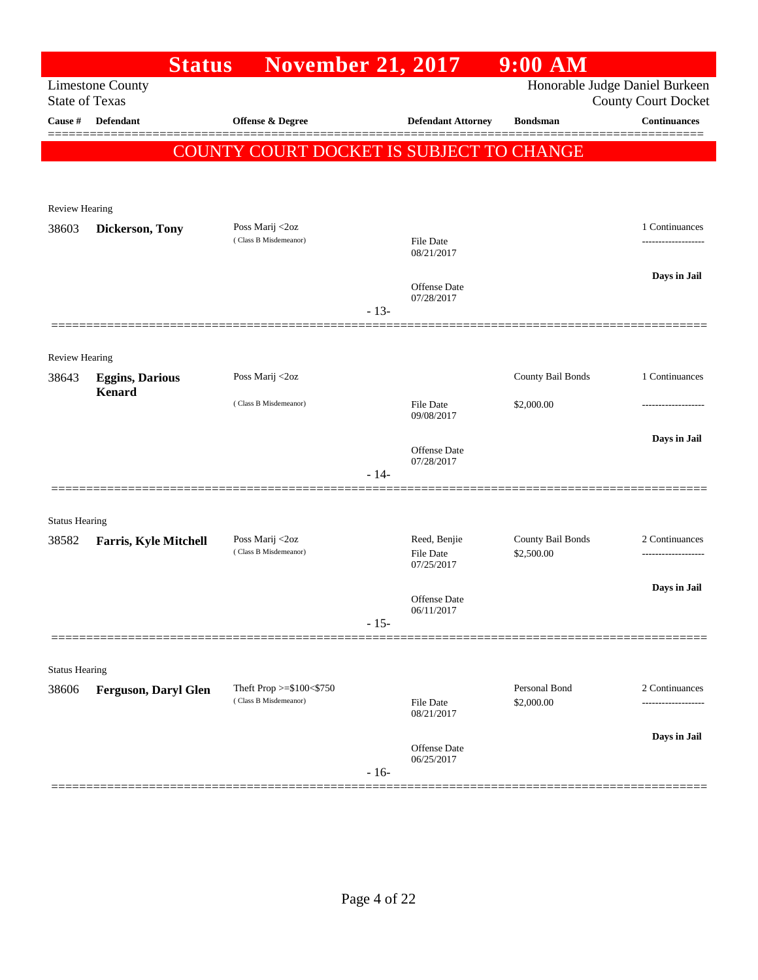|                                  | <b>Status</b>                           | <b>November 21, 2017</b>                 |        |                                  | $9:00$ AM                       |                                                   |
|----------------------------------|-----------------------------------------|------------------------------------------|--------|----------------------------------|---------------------------------|---------------------------------------------------|
|                                  | <b>Limestone County</b>                 |                                          |        |                                  |                                 | Honorable Judge Daniel Burkeen                    |
| <b>State of Texas</b><br>Cause # | Defendant                               | Offense & Degree                         |        | <b>Defendant Attorney</b>        | <b>Bondsman</b>                 | <b>County Court Docket</b><br><b>Continuances</b> |
|                                  |                                         |                                          |        |                                  |                                 |                                                   |
|                                  |                                         | COUNTY COURT DOCKET IS SUBJECT TO CHANGE |        |                                  |                                 |                                                   |
|                                  |                                         |                                          |        |                                  |                                 |                                                   |
| <b>Review Hearing</b>            |                                         |                                          |        |                                  |                                 |                                                   |
| 38603                            | Dickerson, Tony                         | Poss Marij <2oz<br>(Class B Misdemeanor) |        |                                  |                                 | 1 Continuances                                    |
|                                  |                                         |                                          |        | <b>File Date</b><br>08/21/2017   |                                 | -----------------                                 |
|                                  |                                         |                                          |        |                                  |                                 | Days in Jail                                      |
|                                  |                                         |                                          |        | Offense Date<br>07/28/2017       |                                 |                                                   |
|                                  |                                         |                                          | $-13-$ |                                  |                                 |                                                   |
|                                  |                                         |                                          |        |                                  |                                 |                                                   |
| <b>Review Hearing</b>            |                                         | Poss Marij <2oz                          |        |                                  | County Bail Bonds               | 1 Continuances                                    |
| 38643                            | <b>Eggins, Darious</b><br><b>Kenard</b> |                                          |        |                                  |                                 |                                                   |
|                                  |                                         | (Class B Misdemeanor)                    |        | <b>File Date</b><br>09/08/2017   | \$2,000.00                      |                                                   |
|                                  |                                         |                                          |        |                                  |                                 | Days in Jail                                      |
|                                  |                                         |                                          |        | Offense Date<br>07/28/2017       |                                 |                                                   |
|                                  |                                         |                                          | $-14-$ |                                  |                                 |                                                   |
|                                  |                                         |                                          |        |                                  |                                 |                                                   |
| <b>Status Hearing</b>            |                                         |                                          |        |                                  |                                 |                                                   |
| 38582                            | <b>Farris, Kyle Mitchell</b>            | Poss Marij <2oz<br>(Class B Misdemeanor) |        | Reed, Benjie<br><b>File Date</b> | County Bail Bonds<br>\$2,500.00 | 2 Continuances                                    |
|                                  |                                         |                                          |        | 07/25/2017                       |                                 |                                                   |
|                                  |                                         |                                          |        | <b>Offense Date</b>              |                                 | Days in Jail                                      |
|                                  |                                         |                                          | $-15-$ | 06/11/2017                       |                                 |                                                   |
|                                  |                                         |                                          |        |                                  |                                 |                                                   |
| <b>Status Hearing</b>            |                                         |                                          |        |                                  |                                 |                                                   |
| 38606                            | <b>Ferguson, Daryl Glen</b>             | Theft Prop >=\$100<\$750                 |        |                                  | Personal Bond                   | 2 Continuances                                    |
|                                  |                                         | (Class B Misdemeanor)                    |        | <b>File Date</b><br>08/21/2017   | \$2,000.00                      | ----------                                        |
|                                  |                                         |                                          |        |                                  |                                 | Days in Jail                                      |
|                                  |                                         |                                          |        | Offense Date<br>06/25/2017       |                                 |                                                   |
|                                  |                                         |                                          | $-16-$ |                                  |                                 |                                                   |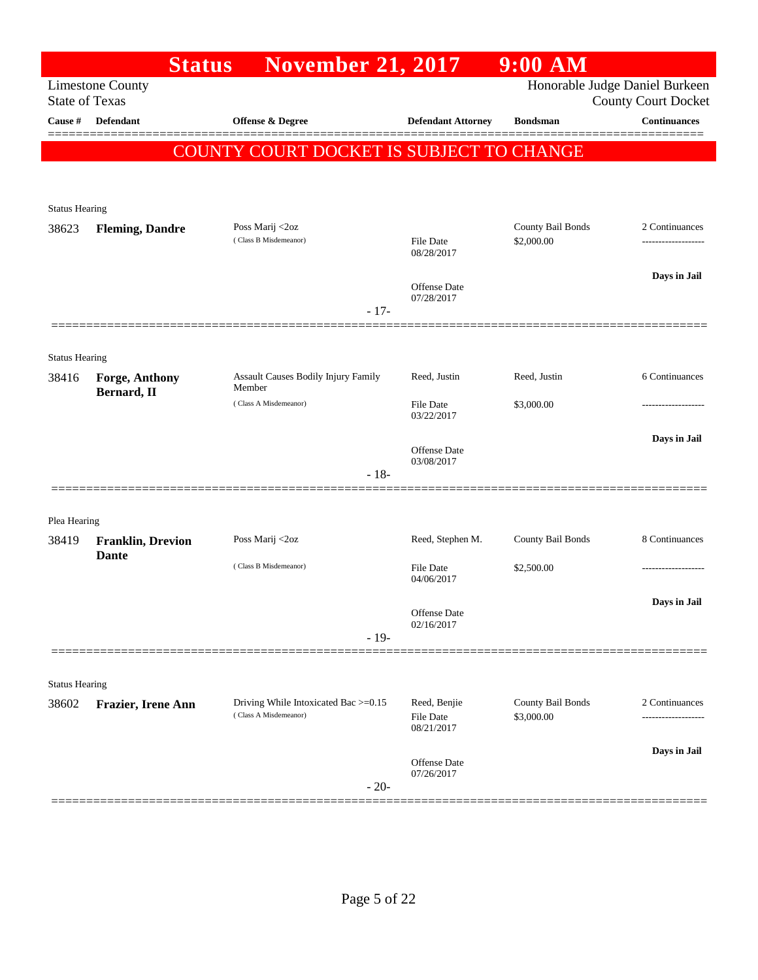|                                | <b>Status</b>                            | <b>November 21, 2017</b>                                      |                                                | $9:00$ AM                       |                                                              |
|--------------------------------|------------------------------------------|---------------------------------------------------------------|------------------------------------------------|---------------------------------|--------------------------------------------------------------|
| <b>State of Texas</b>          | <b>Limestone County</b>                  |                                                               |                                                |                                 | Honorable Judge Daniel Burkeen<br><b>County Court Docket</b> |
| Cause #                        | <b>Defendant</b>                         | <b>Offense &amp; Degree</b>                                   | <b>Defendant Attorney</b>                      | <b>Bondsman</b>                 | <b>Continuances</b>                                          |
|                                |                                          | COUNTY COURT DOCKET IS SUBJECT TO CHANGE                      |                                                |                                 |                                                              |
|                                |                                          |                                                               |                                                |                                 |                                                              |
| <b>Status Hearing</b>          |                                          |                                                               |                                                |                                 |                                                              |
| 38623                          | <b>Fleming, Dandre</b>                   | Poss Marij <2oz<br>(Class B Misdemeanor)                      | <b>File Date</b>                               | County Bail Bonds<br>\$2,000.00 | 2 Continuances<br>------------------                         |
|                                |                                          |                                                               | 08/28/2017                                     |                                 |                                                              |
|                                |                                          |                                                               | Offense Date                                   |                                 | Days in Jail                                                 |
|                                |                                          | $-17-$                                                        | 07/28/2017                                     |                                 |                                                              |
|                                |                                          |                                                               |                                                |                                 |                                                              |
| <b>Status Hearing</b><br>38416 | Forge, Anthony                           | <b>Assault Causes Bodily Injury Family</b>                    | Reed, Justin                                   | Reed, Justin                    | 6 Continuances                                               |
|                                | Bernard, II                              | Member<br>(Class A Misdemeanor)                               | File Date                                      | \$3,000.00                      |                                                              |
|                                |                                          |                                                               | 03/22/2017                                     |                                 |                                                              |
|                                |                                          |                                                               | Offense Date                                   |                                 | Days in Jail                                                 |
|                                |                                          | $-18-$                                                        | 03/08/2017                                     |                                 |                                                              |
|                                |                                          |                                                               |                                                |                                 |                                                              |
| Plea Hearing<br>38419          |                                          | Poss Marij <2oz                                               | Reed, Stephen M.                               | County Bail Bonds               | 8 Continuances                                               |
|                                | <b>Franklin, Drevion</b><br><b>Dante</b> | (Class B Misdemeanor)                                         | File Date                                      | \$2,500.00                      |                                                              |
|                                |                                          |                                                               | 04/06/2017                                     |                                 |                                                              |
|                                |                                          |                                                               | Offense Date                                   |                                 | Days in Jail                                                 |
|                                |                                          | $-19-$                                                        | 02/16/2017                                     |                                 |                                                              |
|                                |                                          |                                                               |                                                |                                 |                                                              |
| <b>Status Hearing</b>          |                                          |                                                               |                                                |                                 |                                                              |
| 38602                          | Frazier, Irene Ann                       | Driving While Intoxicated Bac >=0.15<br>(Class A Misdemeanor) | Reed, Benjie<br><b>File Date</b><br>08/21/2017 | County Bail Bonds<br>\$3,000.00 | 2 Continuances<br>-----------------                          |
|                                |                                          |                                                               | <b>Offense Date</b>                            |                                 | Days in Jail                                                 |
|                                |                                          | $-20-$                                                        | 07/26/2017                                     |                                 |                                                              |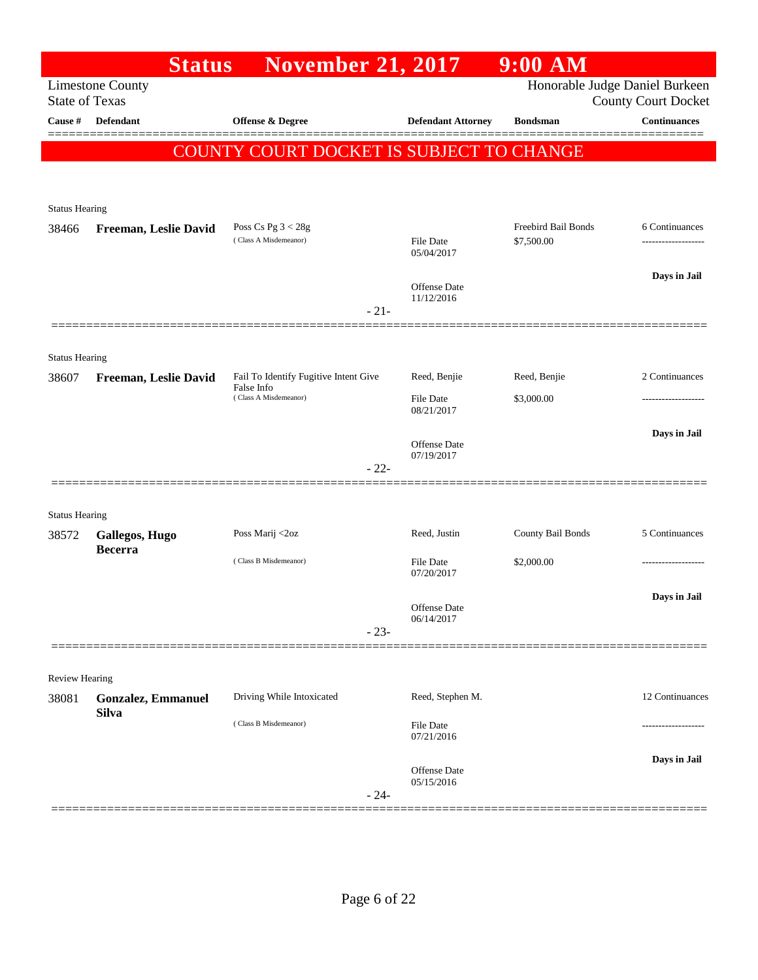| Honorable Judge Daniel Burkeen<br><b>Limestone County</b><br><b>State of Texas</b><br><b>County Court Docket</b><br><b>Defendant</b><br>Cause #<br><b>Offense &amp; Degree</b><br><b>Defendant Attorney</b><br><b>Bondsman</b><br>COUNTY COURT DOCKET IS SUBJECT TO CHANGE<br><b>Status Hearing</b><br>Freebird Bail Bonds<br>Poss Cs Pg $3 < 28g$<br>38466<br>Freeman, Leslie David<br>(Class A Misdemeanor)<br><b>File Date</b><br>\$7,500.00<br>05/04/2017<br>Offense Date<br>11/12/2016<br>$-21-$<br><b>Status Hearing</b><br>Reed, Benjie<br>Fail To Identify Fugitive Intent Give<br>Reed, Benjie<br>38607<br>Freeman, Leslie David<br>False Info<br>(Class A Misdemeanor)<br>File Date<br>\$3,000.00<br>08/21/2017<br>Offense Date<br>07/19/2017<br>$-22-$<br><b>Status Hearing</b><br>Poss Marij <2oz<br>Reed, Justin<br>County Bail Bonds<br>38572<br>Gallegos, Hugo<br><b>Becerra</b><br>(Class B Misdemeanor)<br>File Date<br>\$2,000.00<br>07/20/2017<br>Offense Date<br>06/14/2017<br>$-23-$<br>Review Hearing<br>Driving While Intoxicated<br>Reed, Stephen M.<br>38081<br><b>Gonzalez, Emmanuel</b><br><b>Silva</b><br>(Class B Misdemeanor)<br>File Date<br>-------------<br>07/21/2016<br>Offense Date<br>05/15/2016<br>$-24-$ | <b>Status</b> | <b>November 21, 2017</b> | $9:00$ AM |                                      |
|-------------------------------------------------------------------------------------------------------------------------------------------------------------------------------------------------------------------------------------------------------------------------------------------------------------------------------------------------------------------------------------------------------------------------------------------------------------------------------------------------------------------------------------------------------------------------------------------------------------------------------------------------------------------------------------------------------------------------------------------------------------------------------------------------------------------------------------------------------------------------------------------------------------------------------------------------------------------------------------------------------------------------------------------------------------------------------------------------------------------------------------------------------------------------------------------------------------------------------------------------|---------------|--------------------------|-----------|--------------------------------------|
|                                                                                                                                                                                                                                                                                                                                                                                                                                                                                                                                                                                                                                                                                                                                                                                                                                                                                                                                                                                                                                                                                                                                                                                                                                                 |               |                          |           |                                      |
|                                                                                                                                                                                                                                                                                                                                                                                                                                                                                                                                                                                                                                                                                                                                                                                                                                                                                                                                                                                                                                                                                                                                                                                                                                                 |               |                          |           | <b>Continuances</b>                  |
|                                                                                                                                                                                                                                                                                                                                                                                                                                                                                                                                                                                                                                                                                                                                                                                                                                                                                                                                                                                                                                                                                                                                                                                                                                                 |               |                          |           |                                      |
|                                                                                                                                                                                                                                                                                                                                                                                                                                                                                                                                                                                                                                                                                                                                                                                                                                                                                                                                                                                                                                                                                                                                                                                                                                                 |               |                          |           |                                      |
|                                                                                                                                                                                                                                                                                                                                                                                                                                                                                                                                                                                                                                                                                                                                                                                                                                                                                                                                                                                                                                                                                                                                                                                                                                                 |               |                          |           |                                      |
|                                                                                                                                                                                                                                                                                                                                                                                                                                                                                                                                                                                                                                                                                                                                                                                                                                                                                                                                                                                                                                                                                                                                                                                                                                                 |               |                          |           | 6 Continuances<br>------------------ |
|                                                                                                                                                                                                                                                                                                                                                                                                                                                                                                                                                                                                                                                                                                                                                                                                                                                                                                                                                                                                                                                                                                                                                                                                                                                 |               |                          |           | Days in Jail                         |
|                                                                                                                                                                                                                                                                                                                                                                                                                                                                                                                                                                                                                                                                                                                                                                                                                                                                                                                                                                                                                                                                                                                                                                                                                                                 |               |                          |           |                                      |
|                                                                                                                                                                                                                                                                                                                                                                                                                                                                                                                                                                                                                                                                                                                                                                                                                                                                                                                                                                                                                                                                                                                                                                                                                                                 |               |                          |           |                                      |
|                                                                                                                                                                                                                                                                                                                                                                                                                                                                                                                                                                                                                                                                                                                                                                                                                                                                                                                                                                                                                                                                                                                                                                                                                                                 |               |                          |           | 2 Continuances                       |
|                                                                                                                                                                                                                                                                                                                                                                                                                                                                                                                                                                                                                                                                                                                                                                                                                                                                                                                                                                                                                                                                                                                                                                                                                                                 |               |                          |           |                                      |
|                                                                                                                                                                                                                                                                                                                                                                                                                                                                                                                                                                                                                                                                                                                                                                                                                                                                                                                                                                                                                                                                                                                                                                                                                                                 |               |                          |           | Days in Jail                         |
|                                                                                                                                                                                                                                                                                                                                                                                                                                                                                                                                                                                                                                                                                                                                                                                                                                                                                                                                                                                                                                                                                                                                                                                                                                                 |               |                          |           |                                      |
|                                                                                                                                                                                                                                                                                                                                                                                                                                                                                                                                                                                                                                                                                                                                                                                                                                                                                                                                                                                                                                                                                                                                                                                                                                                 |               |                          |           |                                      |
|                                                                                                                                                                                                                                                                                                                                                                                                                                                                                                                                                                                                                                                                                                                                                                                                                                                                                                                                                                                                                                                                                                                                                                                                                                                 |               |                          |           |                                      |
|                                                                                                                                                                                                                                                                                                                                                                                                                                                                                                                                                                                                                                                                                                                                                                                                                                                                                                                                                                                                                                                                                                                                                                                                                                                 |               |                          |           | 5 Continuances                       |
|                                                                                                                                                                                                                                                                                                                                                                                                                                                                                                                                                                                                                                                                                                                                                                                                                                                                                                                                                                                                                                                                                                                                                                                                                                                 |               |                          |           |                                      |
|                                                                                                                                                                                                                                                                                                                                                                                                                                                                                                                                                                                                                                                                                                                                                                                                                                                                                                                                                                                                                                                                                                                                                                                                                                                 |               |                          |           | Days in Jail                         |
|                                                                                                                                                                                                                                                                                                                                                                                                                                                                                                                                                                                                                                                                                                                                                                                                                                                                                                                                                                                                                                                                                                                                                                                                                                                 |               |                          |           |                                      |
|                                                                                                                                                                                                                                                                                                                                                                                                                                                                                                                                                                                                                                                                                                                                                                                                                                                                                                                                                                                                                                                                                                                                                                                                                                                 |               |                          |           |                                      |
|                                                                                                                                                                                                                                                                                                                                                                                                                                                                                                                                                                                                                                                                                                                                                                                                                                                                                                                                                                                                                                                                                                                                                                                                                                                 |               |                          |           | 12 Continuances                      |
|                                                                                                                                                                                                                                                                                                                                                                                                                                                                                                                                                                                                                                                                                                                                                                                                                                                                                                                                                                                                                                                                                                                                                                                                                                                 |               |                          |           |                                      |
|                                                                                                                                                                                                                                                                                                                                                                                                                                                                                                                                                                                                                                                                                                                                                                                                                                                                                                                                                                                                                                                                                                                                                                                                                                                 |               |                          |           | Days in Jail                         |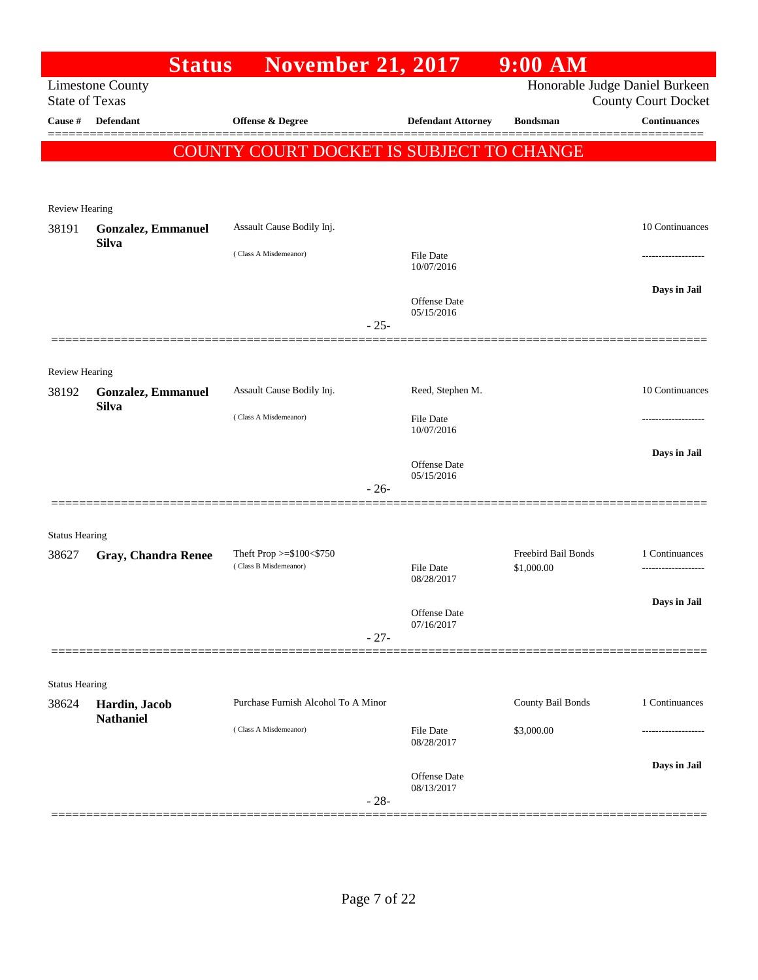|                       | <b>Status</b>                             | <b>November 21, 2017</b>                 |                                   | $9:00$ AM           |                                                              |
|-----------------------|-------------------------------------------|------------------------------------------|-----------------------------------|---------------------|--------------------------------------------------------------|
| <b>State of Texas</b> | <b>Limestone County</b>                   |                                          |                                   |                     | Honorable Judge Daniel Burkeen<br><b>County Court Docket</b> |
| Cause #               | Defendant                                 | Offense & Degree                         | <b>Defendant Attorney</b>         | <b>Bondsman</b>     | <b>Continuances</b>                                          |
|                       |                                           | COUNTY COURT DOCKET IS SUBJECT TO CHANGE |                                   |                     |                                                              |
|                       |                                           |                                          |                                   |                     |                                                              |
| Review Hearing        |                                           |                                          |                                   |                     |                                                              |
| 38191                 | <b>Gonzalez, Emmanuel</b>                 | Assault Cause Bodily Inj.                |                                   |                     | 10 Continuances                                              |
|                       | <b>Silva</b>                              | (Class A Misdemeanor)                    | <b>File Date</b>                  |                     |                                                              |
|                       |                                           |                                          | 10/07/2016                        |                     |                                                              |
|                       |                                           |                                          | <b>Offense Date</b>               |                     | Days in Jail                                                 |
|                       |                                           | $-25-$                                   | 05/15/2016                        |                     |                                                              |
|                       |                                           |                                          |                                   |                     |                                                              |
| Review Hearing        |                                           |                                          |                                   |                     |                                                              |
| 38192                 | <b>Gonzalez, Emmanuel</b><br><b>Silva</b> | Assault Cause Bodily Inj.                | Reed, Stephen M.                  |                     | 10 Continuances                                              |
|                       |                                           | (Class A Misdemeanor)                    | <b>File Date</b><br>10/07/2016    |                     |                                                              |
|                       |                                           |                                          |                                   |                     | Days in Jail                                                 |
|                       |                                           |                                          | <b>Offense Date</b><br>05/15/2016 |                     |                                                              |
|                       |                                           | $-26-$                                   |                                   |                     |                                                              |
| <b>Status Hearing</b> |                                           |                                          |                                   |                     |                                                              |
| 38627                 | Gray, Chandra Renee                       | Theft Prop $>=\$100<\$750$               |                                   | Freebird Bail Bonds | 1 Continuances                                               |
|                       |                                           | (Class B Misdemeanor)                    | <b>File Date</b><br>08/28/2017    | \$1,000.00          |                                                              |
|                       |                                           |                                          |                                   |                     | Days in Jail                                                 |
|                       |                                           | $-27-$                                   | Offense Date<br>07/16/2017        |                     |                                                              |
|                       |                                           |                                          |                                   |                     |                                                              |
| <b>Status Hearing</b> |                                           |                                          |                                   |                     |                                                              |
| 38624                 | Hardin, Jacob                             | Purchase Furnish Alcohol To A Minor      |                                   | County Bail Bonds   | 1 Continuances                                               |
|                       | <b>Nathaniel</b>                          | (Class A Misdemeanor)                    | <b>File Date</b>                  | \$3,000.00          |                                                              |
|                       |                                           |                                          | 08/28/2017                        |                     |                                                              |
|                       |                                           |                                          | Offense Date<br>08/13/2017        |                     | Days in Jail                                                 |
|                       |                                           | $-28-$                                   |                                   |                     |                                                              |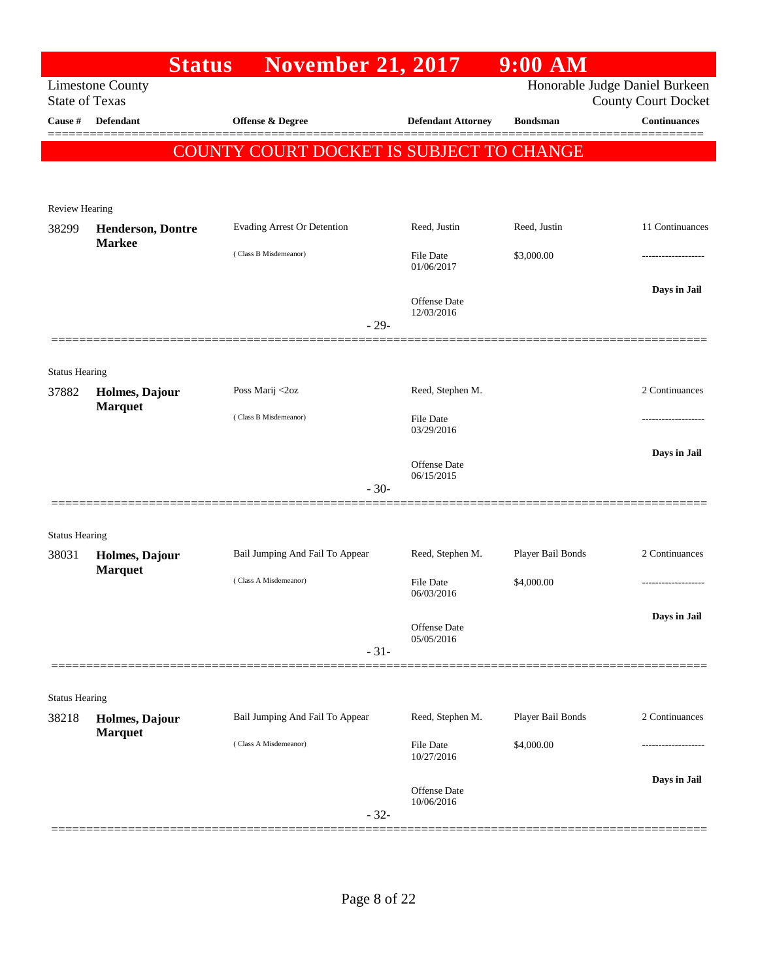|                                  | <b>Status</b>                    | <b>November 21, 2017</b>                 |                            | 9:00 AM           |                                                   |
|----------------------------------|----------------------------------|------------------------------------------|----------------------------|-------------------|---------------------------------------------------|
|                                  | <b>Limestone County</b>          |                                          |                            |                   | Honorable Judge Daniel Burkeen                    |
| <b>State of Texas</b><br>Cause # | Defendant                        | <b>Offense &amp; Degree</b>              |                            | <b>Bondsman</b>   | <b>County Court Docket</b><br><b>Continuances</b> |
|                                  |                                  |                                          | <b>Defendant Attorney</b>  |                   |                                                   |
|                                  |                                  | COUNTY COURT DOCKET IS SUBJECT TO CHANGE |                            |                   |                                                   |
|                                  |                                  |                                          |                            |                   |                                                   |
| <b>Review Hearing</b>            |                                  |                                          |                            |                   |                                                   |
| 38299                            | <b>Henderson, Dontre</b>         | Evading Arrest Or Detention              | Reed, Justin               | Reed, Justin      | 11 Continuances                                   |
|                                  | <b>Markee</b>                    |                                          |                            |                   |                                                   |
|                                  |                                  | (Class B Misdemeanor)                    | File Date<br>01/06/2017    | \$3,000.00        |                                                   |
|                                  |                                  |                                          |                            |                   | Days in Jail                                      |
|                                  |                                  |                                          | Offense Date<br>12/03/2016 |                   |                                                   |
|                                  |                                  |                                          | $-29-$                     |                   |                                                   |
|                                  |                                  |                                          |                            |                   |                                                   |
| <b>Status Hearing</b>            |                                  |                                          |                            |                   |                                                   |
| 37882                            | Holmes, Dajour                   | Poss Marij <2oz                          | Reed, Stephen M.           |                   | 2 Continuances                                    |
|                                  | <b>Marquet</b>                   | (Class B Misdemeanor)                    | File Date                  |                   |                                                   |
|                                  |                                  |                                          | 03/29/2016                 |                   |                                                   |
|                                  |                                  |                                          | Offense Date               |                   | Days in Jail                                      |
|                                  |                                  |                                          | 06/15/2015<br>$-30-$       |                   |                                                   |
|                                  |                                  |                                          |                            |                   |                                                   |
| <b>Status Hearing</b>            |                                  |                                          |                            |                   |                                                   |
| 38031                            | Holmes, Dajour                   | Bail Jumping And Fail To Appear          | Reed, Stephen M.           | Player Bail Bonds | 2 Continuances                                    |
|                                  | <b>Marquet</b>                   | (Class A Misdemeanor)                    |                            |                   |                                                   |
|                                  |                                  |                                          | File Date<br>06/03/2016    | \$4,000.00        |                                                   |
|                                  |                                  |                                          |                            |                   | Days in Jail                                      |
|                                  |                                  |                                          | Offense Date<br>05/05/2016 |                   |                                                   |
|                                  |                                  |                                          | $-31-$                     |                   |                                                   |
|                                  |                                  |                                          |                            |                   |                                                   |
| <b>Status Hearing</b>            |                                  |                                          |                            |                   |                                                   |
| 38218                            | Holmes, Dajour<br><b>Marquet</b> | Bail Jumping And Fail To Appear          | Reed, Stephen M.           | Player Bail Bonds | 2 Continuances                                    |
|                                  |                                  | (Class A Misdemeanor)                    | File Date                  | \$4,000.00        |                                                   |
|                                  |                                  |                                          | 10/27/2016                 |                   |                                                   |
|                                  |                                  |                                          | <b>Offense Date</b>        |                   | Days in Jail                                      |
|                                  |                                  |                                          | 10/06/2016<br>$-32-$       |                   |                                                   |
|                                  |                                  |                                          |                            |                   |                                                   |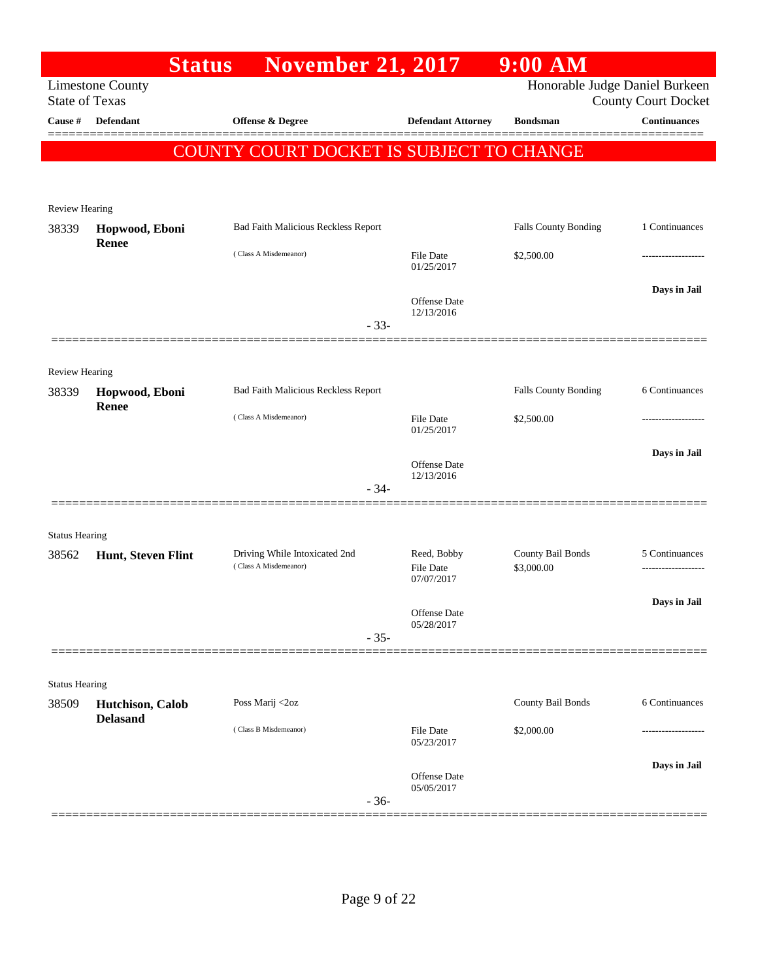|                       | <b>Status</b>                       | <b>November 21, 2017</b>                               |                                 | $9:00$ AM                       |                            |
|-----------------------|-------------------------------------|--------------------------------------------------------|---------------------------------|---------------------------------|----------------------------|
| <b>State of Texas</b> | <b>Limestone County</b>             |                                                        |                                 | Honorable Judge Daniel Burkeen  | <b>County Court Docket</b> |
| Cause #               | Defendant                           | <b>Offense &amp; Degree</b>                            | <b>Defendant Attorney</b>       | <b>Bondsman</b>                 | <b>Continuances</b>        |
|                       |                                     | COUNTY COURT DOCKET IS SUBJECT TO CHANGE               |                                 |                                 |                            |
|                       |                                     |                                                        |                                 |                                 |                            |
| Review Hearing        |                                     |                                                        |                                 |                                 |                            |
| 38339                 | Hopwood, Eboni                      | Bad Faith Malicious Reckless Report                    |                                 | Falls County Bonding            | 1 Continuances             |
|                       | Renee                               | (Class A Misdemeanor)                                  | File Date                       | \$2,500.00                      |                            |
|                       |                                     |                                                        | 01/25/2017                      |                                 |                            |
|                       |                                     |                                                        | <b>Offense</b> Date             |                                 | Days in Jail               |
|                       |                                     | $-33-$                                                 | 12/13/2016                      |                                 |                            |
|                       |                                     |                                                        |                                 |                                 |                            |
| Review Hearing        |                                     |                                                        |                                 |                                 |                            |
| 38339                 | Hopwood, Eboni<br>Renee             | Bad Faith Malicious Reckless Report                    |                                 | Falls County Bonding            | 6 Continuances             |
|                       |                                     | (Class A Misdemeanor)                                  | File Date<br>01/25/2017         | \$2,500.00                      |                            |
|                       |                                     |                                                        | <b>Offense Date</b>             |                                 | Days in Jail               |
|                       |                                     | $-34-$                                                 | 12/13/2016                      |                                 |                            |
|                       |                                     |                                                        |                                 |                                 |                            |
| <b>Status Hearing</b> |                                     |                                                        |                                 |                                 |                            |
| 38562                 | Hunt, Steven Flint                  | Driving While Intoxicated 2nd<br>(Class A Misdemeanor) | Reed, Bobby<br><b>File Date</b> | County Bail Bonds<br>\$3,000.00 | 5 Continuances             |
|                       |                                     |                                                        | 07/07/2017                      |                                 |                            |
|                       |                                     |                                                        | Offense Date                    |                                 | Days in Jail               |
|                       |                                     | $-35-$                                                 | 05/28/2017                      |                                 |                            |
|                       |                                     |                                                        |                                 |                                 |                            |
| <b>Status Hearing</b> |                                     |                                                        |                                 |                                 |                            |
| 38509                 | Hutchison, Calob<br><b>Delasand</b> | Poss Marij <2oz                                        |                                 | County Bail Bonds               | 6 Continuances             |
|                       |                                     | (Class B Misdemeanor)                                  | <b>File Date</b><br>05/23/2017  | \$2,000.00                      |                            |
|                       |                                     |                                                        |                                 |                                 | Days in Jail               |
|                       |                                     |                                                        | Offense Date<br>05/05/2017      |                                 |                            |
|                       |                                     | $-36-$                                                 |                                 |                                 |                            |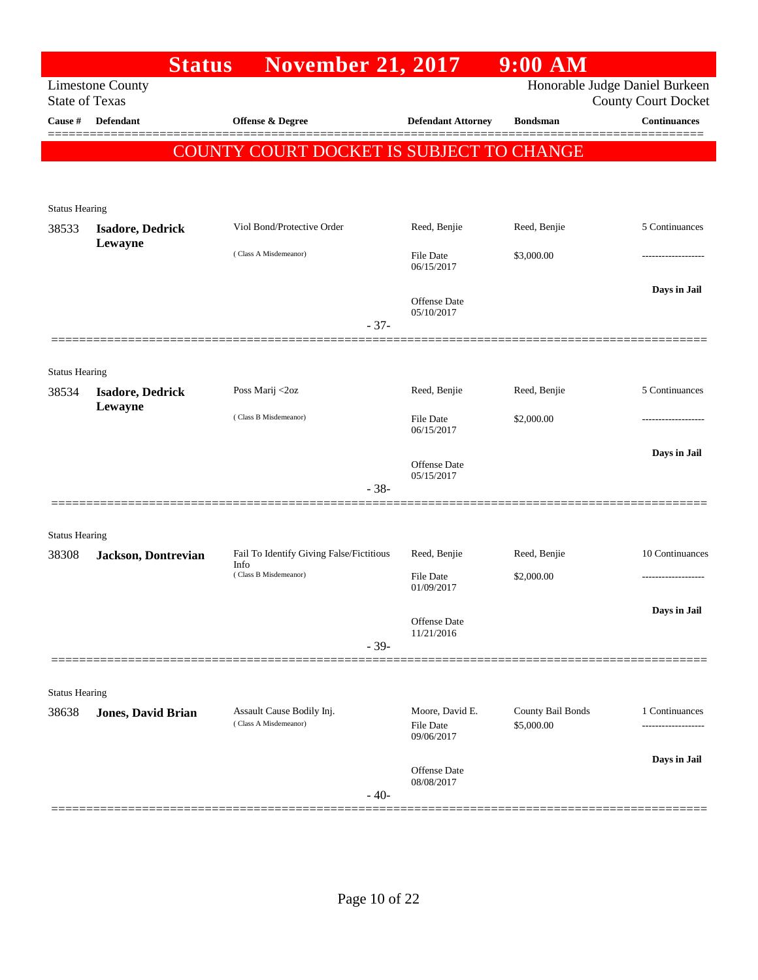|                                | <b>Status</b>             | <b>November 21, 2017</b>                           |                                                   | $9:00$ AM                       |                                                              |
|--------------------------------|---------------------------|----------------------------------------------------|---------------------------------------------------|---------------------------------|--------------------------------------------------------------|
| <b>State of Texas</b>          | <b>Limestone County</b>   |                                                    |                                                   |                                 | Honorable Judge Daniel Burkeen<br><b>County Court Docket</b> |
| Cause #                        | <b>Defendant</b>          | Offense & Degree                                   | <b>Defendant Attorney</b>                         | <b>Bondsman</b>                 | <b>Continuances</b>                                          |
|                                |                           | COUNTY COURT DOCKET IS SUBJECT TO CHANGE           |                                                   |                                 |                                                              |
|                                |                           |                                                    |                                                   |                                 |                                                              |
| <b>Status Hearing</b>          |                           |                                                    |                                                   |                                 |                                                              |
| 38533                          | <b>Isadore, Dedrick</b>   | Viol Bond/Protective Order                         | Reed, Benjie                                      | Reed, Benjie                    | 5 Continuances                                               |
|                                | Lewayne                   | (Class A Misdemeanor)                              | <b>File Date</b><br>06/15/2017                    | \$3,000.00                      |                                                              |
|                                |                           | $-37-$                                             | <b>Offense Date</b><br>05/10/2017                 |                                 | Days in Jail                                                 |
|                                |                           |                                                    |                                                   |                                 |                                                              |
| <b>Status Hearing</b>          |                           |                                                    |                                                   |                                 |                                                              |
| 38534                          | <b>Isadore, Dedrick</b>   | Poss Marij <2oz                                    | Reed, Benjie                                      | Reed, Benjie                    | 5 Continuances                                               |
|                                | Lewayne                   | (Class B Misdemeanor)                              | <b>File Date</b><br>06/15/2017                    | \$2,000.00                      |                                                              |
|                                |                           |                                                    | <b>Offense Date</b><br>05/15/2017                 |                                 | Days in Jail                                                 |
|                                |                           | $-38-$                                             |                                                   |                                 |                                                              |
|                                |                           |                                                    |                                                   |                                 |                                                              |
| <b>Status Hearing</b><br>38308 | Jackson, Dontrevian       | Fail To Identify Giving False/Fictitious           | Reed, Benjie                                      | Reed, Benjie                    | 10 Continuances                                              |
|                                |                           | Info<br>(Class B Misdemeanor)                      | <b>File Date</b><br>01/09/2017                    | \$2,000.00                      |                                                              |
|                                |                           |                                                    |                                                   |                                 | Days in Jail                                                 |
|                                |                           |                                                    | Offense Date<br>11/21/2016                        |                                 |                                                              |
|                                |                           | $-39-$                                             |                                                   |                                 |                                                              |
| <b>Status Hearing</b>          |                           |                                                    |                                                   |                                 |                                                              |
| 38638                          | <b>Jones, David Brian</b> | Assault Cause Bodily Inj.<br>(Class A Misdemeanor) | Moore, David E.<br><b>File Date</b><br>09/06/2017 | County Bail Bonds<br>\$5,000.00 | 1 Continuances<br>.                                          |
|                                |                           |                                                    | Offense Date                                      |                                 | Days in Jail                                                 |
|                                |                           | $-40-$                                             | 08/08/2017                                        |                                 |                                                              |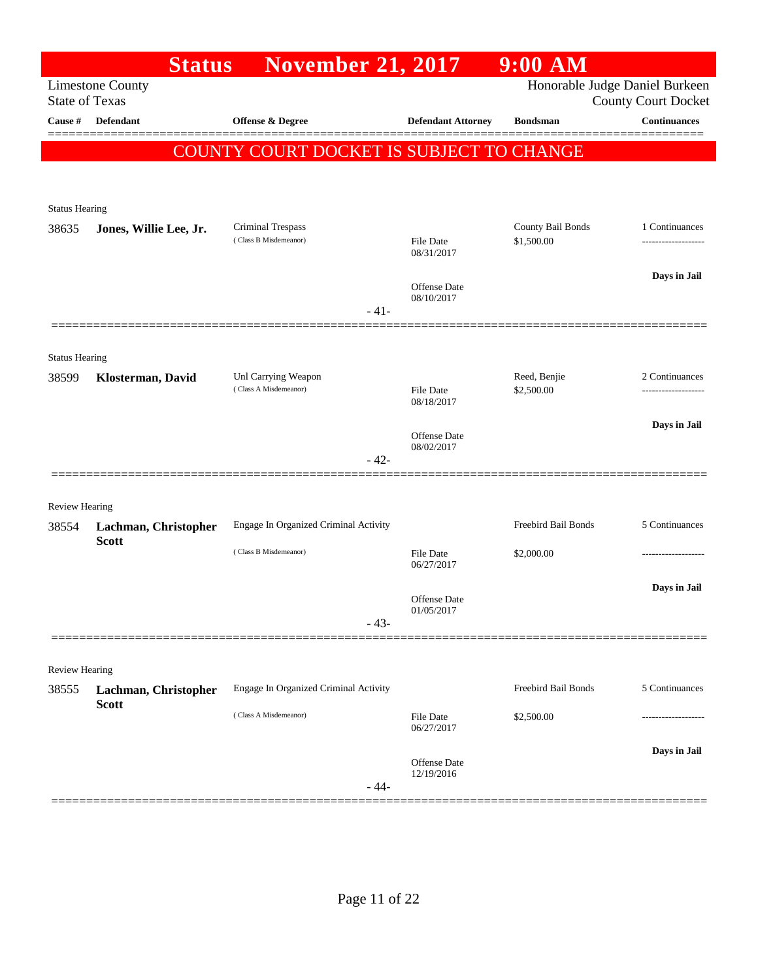|                         | <b>Status</b>           | <b>November 21, 2017</b>                     |                                | $9:00$ AM                  |                                                              |
|-------------------------|-------------------------|----------------------------------------------|--------------------------------|----------------------------|--------------------------------------------------------------|
| <b>State of Texas</b>   | <b>Limestone County</b> |                                              |                                |                            | Honorable Judge Daniel Burkeen<br><b>County Court Docket</b> |
| Cause #                 | <b>Defendant</b>        | <b>Offense &amp; Degree</b>                  | <b>Defendant Attorney</b>      | <b>Bondsman</b>            | <b>Continuances</b>                                          |
|                         |                         | COUNTY COURT DOCKET IS SUBJECT TO CHANGE     |                                |                            |                                                              |
|                         |                         |                                              |                                |                            |                                                              |
| <b>Status Hearing</b>   |                         |                                              |                                |                            |                                                              |
| 38635                   | Jones, Willie Lee, Jr.  | Criminal Trespass<br>(Class B Misdemeanor)   |                                | County Bail Bonds          | 1 Continuances                                               |
|                         |                         |                                              | <b>File Date</b><br>08/31/2017 | \$1,500.00                 | -------------------                                          |
|                         |                         |                                              | Offense Date                   |                            | Days in Jail                                                 |
|                         |                         | $-41-$                                       | 08/10/2017                     |                            |                                                              |
|                         |                         |                                              |                                |                            |                                                              |
| <b>Status Hearing</b>   |                         |                                              |                                |                            |                                                              |
| 38599                   | Klosterman, David       | Unl Carrying Weapon<br>(Class A Misdemeanor) | <b>File Date</b>               | Reed, Benjie<br>\$2,500.00 | 2 Continuances                                               |
|                         |                         |                                              | 08/18/2017                     |                            | Days in Jail                                                 |
|                         |                         |                                              | Offense Date<br>08/02/2017     |                            |                                                              |
|                         |                         | $-42-$                                       |                                |                            |                                                              |
|                         |                         |                                              |                                |                            |                                                              |
| Review Hearing<br>38554 | Lachman, Christopher    | Engage In Organized Criminal Activity        |                                | Freebird Bail Bonds        | 5 Continuances                                               |
|                         | <b>Scott</b>            | (Class B Misdemeanor)                        | <b>File Date</b>               | \$2,000.00                 | .                                                            |
|                         |                         |                                              | 06/27/2017                     |                            |                                                              |
|                         |                         |                                              | Offense Date<br>01/05/2017     |                            | Days in Jail                                                 |
|                         |                         | $-43-$                                       |                                |                            |                                                              |
|                         |                         |                                              |                                |                            |                                                              |
| Review Hearing<br>38555 | Lachman, Christopher    | Engage In Organized Criminal Activity        |                                | Freebird Bail Bonds        | 5 Continuances                                               |
|                         | <b>Scott</b>            | (Class A Misdemeanor)                        | File Date                      | \$2,500.00                 |                                                              |
|                         |                         |                                              | 06/27/2017                     |                            |                                                              |
|                         |                         |                                              | Offense Date                   |                            | Days in Jail                                                 |
|                         |                         | $-44-$                                       | 12/19/2016                     |                            |                                                              |
|                         |                         |                                              |                                |                            |                                                              |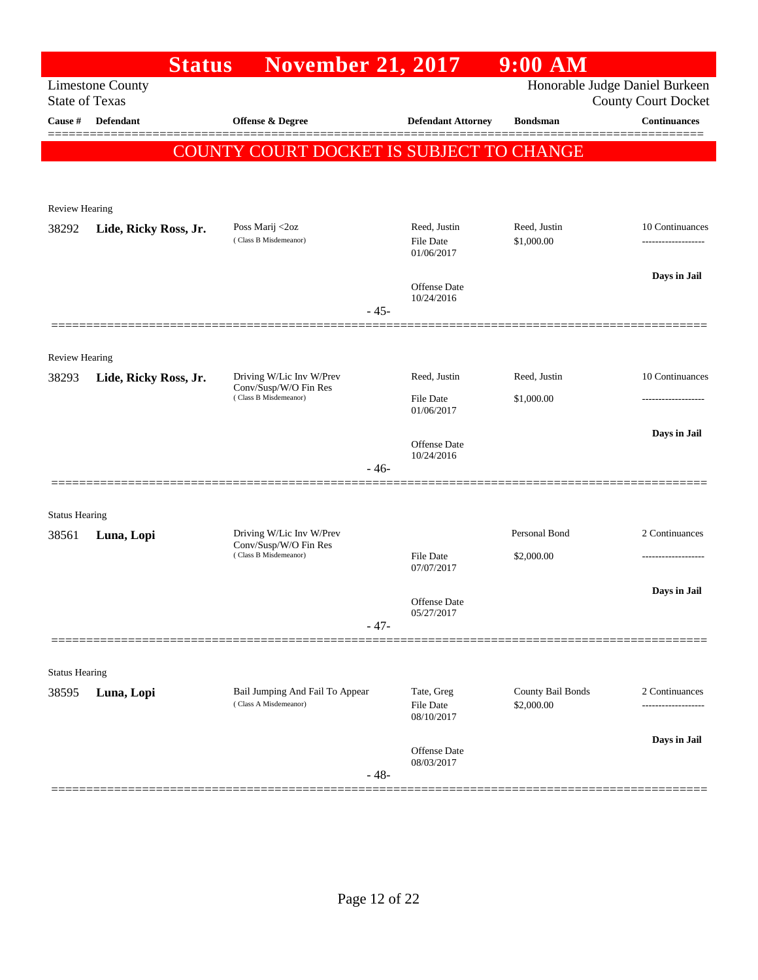|                       | <b>Status</b>           | <b>November 21, 2017</b>                          |                                | 9:00 AM           |                                                              |
|-----------------------|-------------------------|---------------------------------------------------|--------------------------------|-------------------|--------------------------------------------------------------|
| <b>State of Texas</b> | <b>Limestone County</b> |                                                   |                                |                   | Honorable Judge Daniel Burkeen<br><b>County Court Docket</b> |
| Cause #               | Defendant               | <b>Offense &amp; Degree</b>                       | <b>Defendant Attorney</b>      | <b>Bondsman</b>   | <b>Continuances</b>                                          |
|                       |                         | COUNTY COURT DOCKET IS SUBJECT TO CHANGE          |                                |                   |                                                              |
|                       |                         |                                                   |                                |                   |                                                              |
| <b>Review Hearing</b> |                         |                                                   |                                |                   |                                                              |
| 38292                 | Lide, Ricky Ross, Jr.   | Poss Marij <2oz                                   | Reed, Justin                   | Reed, Justin      | 10 Continuances                                              |
|                       |                         | (Class B Misdemeanor)                             | <b>File Date</b><br>01/06/2017 | \$1,000.00        | -------------------                                          |
|                       |                         |                                                   | Offense Date                   |                   | Days in Jail                                                 |
|                       |                         | $-45-$                                            | 10/24/2016                     |                   |                                                              |
|                       |                         |                                                   |                                |                   |                                                              |
| <b>Review Hearing</b> |                         |                                                   |                                |                   |                                                              |
| 38293                 | Lide, Ricky Ross, Jr.   | Driving W/Lic Inv W/Prev<br>Conv/Susp/W/O Fin Res | Reed, Justin                   | Reed, Justin      | 10 Continuances                                              |
|                       |                         | (Class B Misdemeanor)                             | File Date<br>01/06/2017        | \$1,000.00        |                                                              |
|                       |                         |                                                   |                                |                   | Days in Jail                                                 |
|                       |                         | $-46-$                                            | Offense Date<br>10/24/2016     |                   |                                                              |
|                       |                         |                                                   |                                |                   |                                                              |
| <b>Status Hearing</b> |                         |                                                   |                                |                   |                                                              |
| 38561                 | Luna, Lopi              | Driving W/Lic Inv W/Prev<br>Conv/Susp/W/O Fin Res |                                | Personal Bond     | 2 Continuances                                               |
|                       |                         | (Class B Misdemeanor)                             | <b>File Date</b><br>07/07/2017 | \$2,000.00        |                                                              |
|                       |                         |                                                   |                                |                   | Days in Jail                                                 |
|                       |                         |                                                   | Offense Date<br>05/27/2017     |                   |                                                              |
|                       |                         | $-47-$                                            |                                |                   |                                                              |
| <b>Status Hearing</b> |                         |                                                   |                                |                   |                                                              |
| 38595                 | Luna, Lopi              | Bail Jumping And Fail To Appear                   | Tate, Greg                     | County Bail Bonds | 2 Continuances                                               |
|                       |                         | (Class A Misdemeanor)                             | File Date<br>08/10/2017        | \$2,000.00        |                                                              |
|                       |                         |                                                   | Offense Date                   |                   | Days in Jail                                                 |
|                       |                         | $-48-$                                            | 08/03/2017                     |                   |                                                              |
|                       |                         |                                                   |                                |                   |                                                              |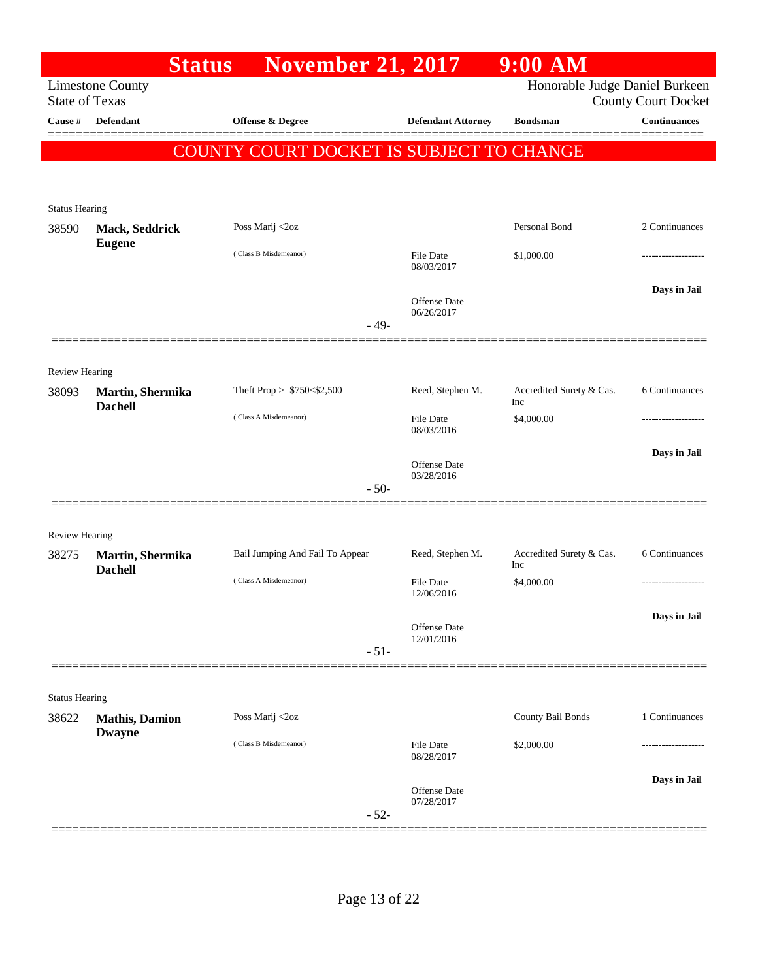|                       |                                         | <b>November 21, 2017</b><br><b>Status</b> |                                   | 9:00 AM                         |                                                   |
|-----------------------|-----------------------------------------|-------------------------------------------|-----------------------------------|---------------------------------|---------------------------------------------------|
| <b>State of Texas</b> | <b>Limestone County</b>                 |                                           |                                   | Honorable Judge Daniel Burkeen  |                                                   |
| Cause #               | <b>Defendant</b>                        | <b>Offense &amp; Degree</b>               | <b>Defendant Attorney</b>         | <b>Bondsman</b>                 | <b>County Court Docket</b><br><b>Continuances</b> |
|                       |                                         |                                           |                                   |                                 |                                                   |
|                       |                                         | COUNTY COURT DOCKET IS SUBJECT TO CHANGE  |                                   |                                 |                                                   |
|                       |                                         |                                           |                                   |                                 |                                                   |
| <b>Status Hearing</b> |                                         |                                           |                                   |                                 |                                                   |
| 38590                 | Mack, Seddrick                          | Poss Marij <2oz                           |                                   | Personal Bond                   | 2 Continuances                                    |
|                       | <b>Eugene</b>                           | (Class B Misdemeanor)                     |                                   |                                 |                                                   |
|                       |                                         |                                           | <b>File Date</b><br>08/03/2017    | \$1,000.00                      |                                                   |
|                       |                                         |                                           |                                   |                                 | Days in Jail                                      |
|                       |                                         |                                           | <b>Offense Date</b><br>06/26/2017 |                                 |                                                   |
|                       |                                         |                                           | $-49-$                            |                                 |                                                   |
|                       |                                         |                                           |                                   |                                 |                                                   |
| <b>Review Hearing</b> |                                         |                                           |                                   |                                 |                                                   |
| 38093                 | Martin, Shermika<br><b>Dachell</b>      | Theft Prop >=\$750<\$2,500                | Reed, Stephen M.                  | Accredited Surety & Cas.<br>Inc | 6 Continuances                                    |
|                       |                                         | (Class A Misdemeanor)                     | File Date                         | \$4,000.00                      |                                                   |
|                       |                                         |                                           | 08/03/2016                        |                                 |                                                   |
|                       |                                         |                                           | <b>Offense Date</b>               |                                 | Days in Jail                                      |
|                       |                                         |                                           | 03/28/2016<br>$-50-$              |                                 |                                                   |
|                       |                                         |                                           |                                   |                                 |                                                   |
| <b>Review Hearing</b> |                                         |                                           |                                   |                                 |                                                   |
| 38275                 | Martin, Shermika                        | Bail Jumping And Fail To Appear           | Reed, Stephen M.                  | Accredited Surety & Cas.        | 6 Continuances                                    |
|                       | <b>Dachell</b>                          | (Class A Misdemeanor)                     | <b>File Date</b>                  | Inc<br>\$4,000.00               |                                                   |
|                       |                                         |                                           | 12/06/2016                        |                                 |                                                   |
|                       |                                         |                                           |                                   |                                 | Days in Jail                                      |
|                       |                                         |                                           | Offense Date<br>12/01/2016        |                                 |                                                   |
|                       |                                         |                                           | $-51-$                            |                                 |                                                   |
|                       |                                         |                                           |                                   |                                 |                                                   |
| <b>Status Hearing</b> |                                         |                                           |                                   |                                 |                                                   |
| 38622                 | <b>Mathis</b> , Damion<br><b>Dwayne</b> | Poss Marij <2oz                           |                                   | County Bail Bonds               | 1 Continuances                                    |
|                       |                                         | (Class B Misdemeanor)                     | File Date<br>08/28/2017           | \$2,000.00                      |                                                   |
|                       |                                         |                                           |                                   |                                 |                                                   |
|                       |                                         |                                           | Offense Date                      |                                 | Days in Jail                                      |
|                       |                                         |                                           | 07/28/2017<br>$-52-$              |                                 |                                                   |
|                       |                                         |                                           |                                   |                                 |                                                   |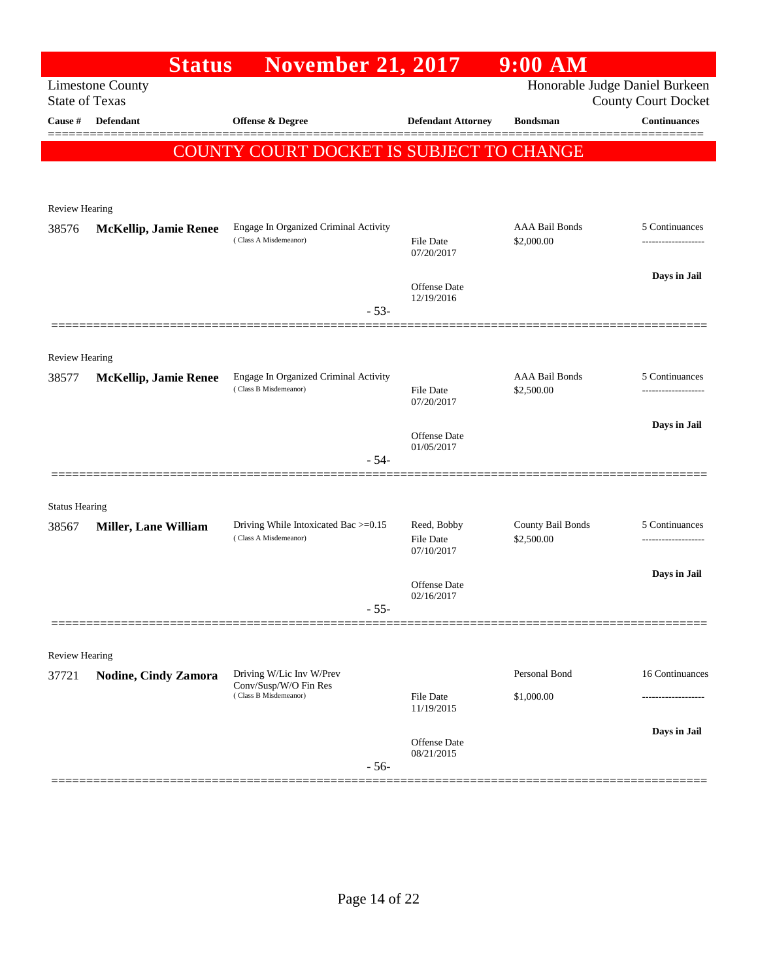|                       | <b>Status</b>                | <b>November 21, 2017</b>                                                   |                                   | $9:00$ AM                       |                                                              |
|-----------------------|------------------------------|----------------------------------------------------------------------------|-----------------------------------|---------------------------------|--------------------------------------------------------------|
| <b>State of Texas</b> | <b>Limestone County</b>      |                                                                            |                                   |                                 | Honorable Judge Daniel Burkeen<br><b>County Court Docket</b> |
| Cause #               | Defendant                    | <b>Offense &amp; Degree</b>                                                | <b>Defendant Attorney</b>         | <b>Bondsman</b>                 | <b>Continuances</b>                                          |
|                       |                              | COUNTY COURT DOCKET IS SUBJECT TO CHANGE                                   |                                   |                                 |                                                              |
|                       |                              |                                                                            |                                   |                                 |                                                              |
| <b>Review Hearing</b> |                              |                                                                            |                                   |                                 |                                                              |
| 38576                 | <b>McKellip, Jamie Renee</b> | Engage In Organized Criminal Activity                                      |                                   | <b>AAA Bail Bonds</b>           | 5 Continuances                                               |
|                       |                              | (Class A Misdemeanor)                                                      | File Date<br>07/20/2017           | \$2,000.00                      | -------------------                                          |
|                       |                              |                                                                            |                                   |                                 | Days in Jail                                                 |
|                       |                              | $-53-$                                                                     | <b>Offense Date</b><br>12/19/2016 |                                 |                                                              |
|                       |                              |                                                                            |                                   |                                 |                                                              |
| Review Hearing        |                              |                                                                            |                                   |                                 |                                                              |
| 38577                 | <b>McKellip, Jamie Renee</b> | Engage In Organized Criminal Activity<br>(Class B Misdemeanor)             |                                   | <b>AAA Bail Bonds</b>           | 5 Continuances                                               |
|                       |                              |                                                                            | <b>File Date</b><br>07/20/2017    | \$2,500.00                      | ------------------                                           |
|                       |                              |                                                                            | Offense Date                      |                                 | Days in Jail                                                 |
|                       |                              | $-54-$                                                                     | 01/05/2017                        |                                 |                                                              |
|                       |                              |                                                                            |                                   |                                 |                                                              |
| <b>Status Hearing</b> |                              |                                                                            |                                   |                                 |                                                              |
| 38567                 | <b>Miller, Lane William</b>  | Driving While Intoxicated Bac >=0.15<br>(Class A Misdemeanor)              | Reed, Bobby<br><b>File Date</b>   | County Bail Bonds<br>\$2,500.00 | 5 Continuances<br>------------------                         |
|                       |                              |                                                                            | 07/10/2017                        |                                 |                                                              |
|                       |                              |                                                                            | Offense Date<br>02/16/2017        |                                 | Days in Jail                                                 |
|                       |                              | 55                                                                         |                                   |                                 |                                                              |
|                       |                              |                                                                            |                                   |                                 |                                                              |
| <b>Review Hearing</b> |                              |                                                                            |                                   | Personal Bond                   | 16 Continuances                                              |
| 37721                 | Nodine, Cindy Zamora         | Driving W/Lic Inv W/Prev<br>Conv/Susp/W/O Fin Res<br>(Class B Misdemeanor) | <b>File Date</b>                  | \$1,000.00                      |                                                              |
|                       |                              |                                                                            | 11/19/2015                        |                                 |                                                              |
|                       |                              |                                                                            | Offense Date                      |                                 | Days in Jail                                                 |
|                       |                              | $-56-$                                                                     | 08/21/2015                        |                                 |                                                              |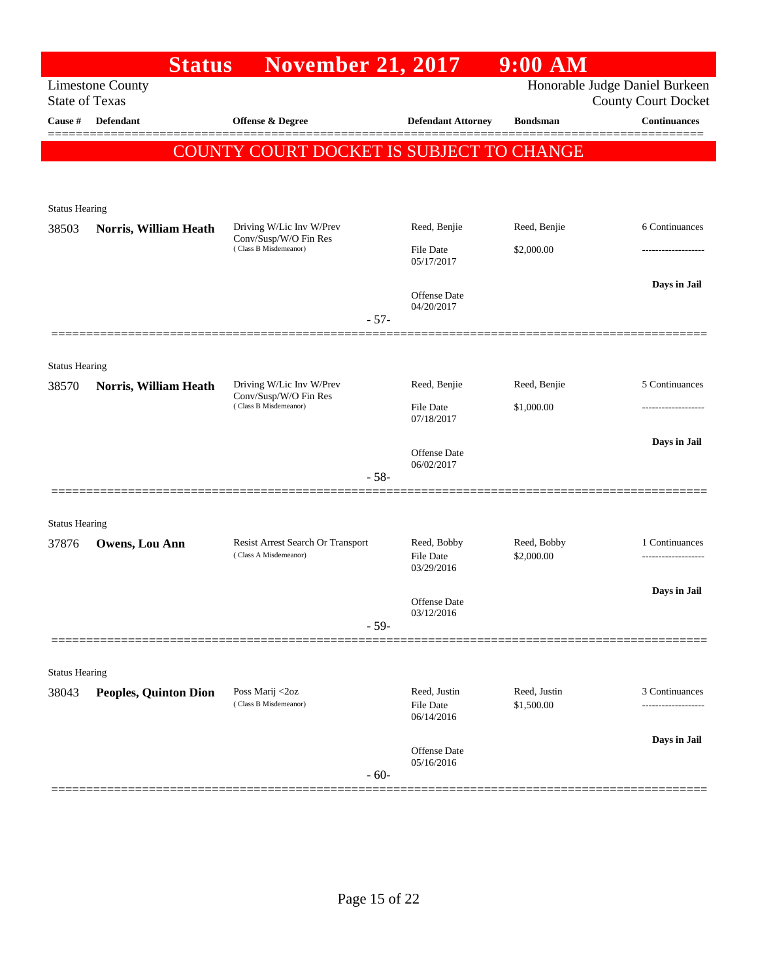|                       | <b>Status</b>                | <b>November 21, 2017</b>                          |                                   | $9:00$ AM       |                                                              |
|-----------------------|------------------------------|---------------------------------------------------|-----------------------------------|-----------------|--------------------------------------------------------------|
| <b>State of Texas</b> | <b>Limestone County</b>      |                                                   |                                   |                 | Honorable Judge Daniel Burkeen<br><b>County Court Docket</b> |
| Cause #               | Defendant                    | Offense & Degree                                  | <b>Defendant Attorney</b>         | <b>Bondsman</b> | <b>Continuances</b>                                          |
|                       |                              | COUNTY COURT DOCKET IS SUBJECT TO CHANGE          |                                   |                 | =======                                                      |
|                       |                              |                                                   |                                   |                 |                                                              |
|                       |                              |                                                   |                                   |                 |                                                              |
| <b>Status Hearing</b> |                              |                                                   |                                   |                 |                                                              |
| 38503                 | Norris, William Heath        | Driving W/Lic Inv W/Prev<br>Conv/Susp/W/O Fin Res | Reed, Benjie                      | Reed, Benjie    | 6 Continuances                                               |
|                       |                              | (Class B Misdemeanor)                             | <b>File Date</b><br>05/17/2017    | \$2,000.00      |                                                              |
|                       |                              |                                                   |                                   |                 | Days in Jail                                                 |
|                       |                              |                                                   | <b>Offense</b> Date<br>04/20/2017 |                 |                                                              |
|                       |                              | $-57-$                                            |                                   |                 |                                                              |
|                       |                              |                                                   |                                   |                 |                                                              |
| <b>Status Hearing</b> |                              |                                                   |                                   |                 |                                                              |
| 38570                 | Norris, William Heath        | Driving W/Lic Inv W/Prev<br>Conv/Susp/W/O Fin Res | Reed, Benjie                      | Reed, Benjie    | 5 Continuances                                               |
|                       |                              | (Class B Misdemeanor)                             | File Date<br>07/18/2017           | \$1,000.00      | .                                                            |
|                       |                              |                                                   |                                   |                 | Days in Jail                                                 |
|                       |                              |                                                   | Offense Date<br>06/02/2017        |                 |                                                              |
|                       |                              | $-58-$                                            |                                   |                 |                                                              |
|                       |                              |                                                   |                                   |                 |                                                              |
| <b>Status Hearing</b> |                              | Resist Arrest Search Or Transport                 | Reed, Bobby                       | Reed, Bobby     | 1 Continuances                                               |
| 37876                 | Owens, Lou Ann               | (Class A Misdemeanor)                             | File Date                         | \$2,000.00      |                                                              |
|                       |                              |                                                   | 03/29/2016                        |                 |                                                              |
|                       |                              |                                                   | Offense Date                      |                 | Days in Jail                                                 |
|                       |                              | $-59-$                                            | 03/12/2016                        |                 |                                                              |
|                       |                              |                                                   |                                   |                 |                                                              |
| <b>Status Hearing</b> |                              |                                                   |                                   |                 |                                                              |
| 38043                 | <b>Peoples, Quinton Dion</b> | Poss Marij <2oz                                   | Reed, Justin                      | Reed, Justin    | 3 Continuances                                               |
|                       |                              | (Class B Misdemeanor)                             | File Date<br>06/14/2016           | \$1,500.00      |                                                              |
|                       |                              |                                                   |                                   |                 | Days in Jail                                                 |
|                       |                              |                                                   | Offense Date<br>05/16/2016        |                 |                                                              |
|                       |                              | $-60-$                                            |                                   |                 |                                                              |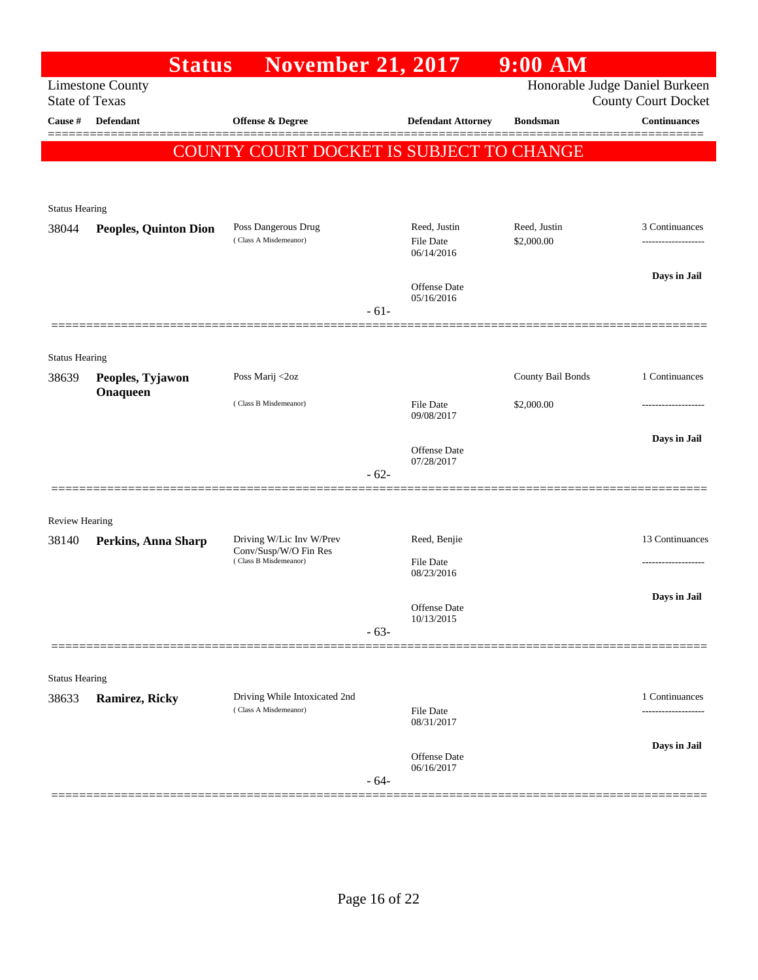|                       | <b>Status</b>                | <b>November 21, 2017</b>                               |        |                                                | $9:00$ AM                  |                                                              |
|-----------------------|------------------------------|--------------------------------------------------------|--------|------------------------------------------------|----------------------------|--------------------------------------------------------------|
| <b>State of Texas</b> | <b>Limestone County</b>      |                                                        |        |                                                |                            | Honorable Judge Daniel Burkeen<br><b>County Court Docket</b> |
| Cause #               | <b>Defendant</b>             | <b>Offense &amp; Degree</b>                            |        | <b>Defendant Attorney</b>                      | <b>Bondsman</b>            | <b>Continuances</b>                                          |
|                       |                              | COUNTY COURT DOCKET IS SUBJECT TO CHANGE               |        |                                                |                            |                                                              |
| <b>Status Hearing</b> |                              |                                                        |        |                                                |                            |                                                              |
| 38044                 | Peoples, Quinton Dion        | Poss Dangerous Drug<br>(Class A Misdemeanor)           |        | Reed, Justin<br><b>File Date</b><br>06/14/2016 | Reed, Justin<br>\$2,000.00 | 3 Continuances                                               |
|                       |                              |                                                        |        | Offense Date<br>05/16/2016                     |                            | Days in Jail                                                 |
|                       |                              |                                                        | $-61-$ |                                                |                            |                                                              |
| <b>Status Hearing</b> |                              |                                                        |        |                                                |                            |                                                              |
| 38639                 | Peoples, Tyjawon<br>Onaqueen | Poss Marij <2oz                                        |        |                                                | County Bail Bonds          | 1 Continuances                                               |
|                       |                              | (Class B Misdemeanor)                                  |        | <b>File Date</b><br>09/08/2017                 | \$2,000.00                 |                                                              |
|                       |                              |                                                        | $-62-$ | Offense Date<br>07/28/2017                     |                            | Days in Jail                                                 |
|                       |                              |                                                        |        |                                                |                            |                                                              |
| <b>Review Hearing</b> |                              |                                                        |        |                                                |                            |                                                              |
| 38140                 | Perkins, Anna Sharp          | Driving W/Lic Inv W/Prev<br>Conv/Susp/W/O Fin Res      |        | Reed, Benjie                                   |                            | 13 Continuances                                              |
|                       |                              | (Class B Misdemeanor)                                  |        | <b>File Date</b><br>08/23/2016                 |                            |                                                              |
|                       |                              |                                                        |        | Offense Date<br>10/13/2015                     |                            | Days in Jail                                                 |
|                       |                              |                                                        | $-63-$ |                                                |                            |                                                              |
| <b>Status Hearing</b> |                              |                                                        |        |                                                |                            |                                                              |
| 38633                 | <b>Ramirez, Ricky</b>        | Driving While Intoxicated 2nd<br>(Class A Misdemeanor) |        | File Date<br>08/31/2017                        |                            | 1 Continuances<br>                                           |
|                       |                              |                                                        |        | Offense Date<br>06/16/2017                     |                            | Days in Jail                                                 |
|                       |                              |                                                        | $-64-$ |                                                |                            |                                                              |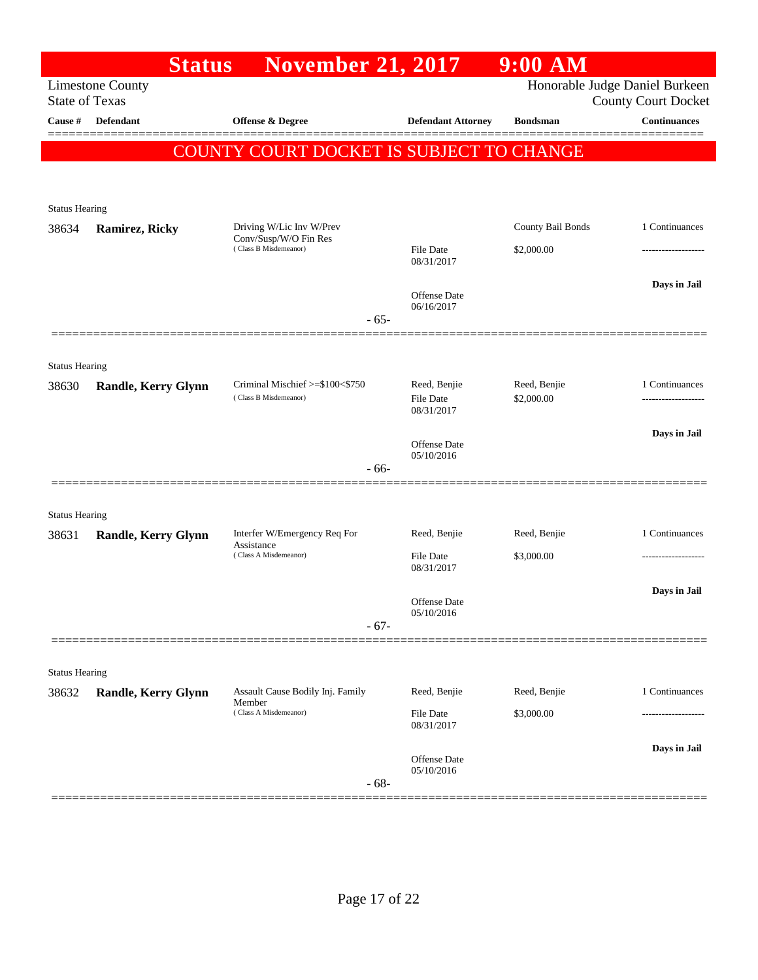|                       | <b>Status</b>              | <b>November 21, 2017</b>                                 |                                   | $9:00$ AM                  |                                                              |
|-----------------------|----------------------------|----------------------------------------------------------|-----------------------------------|----------------------------|--------------------------------------------------------------|
| <b>State of Texas</b> | <b>Limestone County</b>    |                                                          |                                   |                            | Honorable Judge Daniel Burkeen<br><b>County Court Docket</b> |
| Cause #               | <b>Defendant</b>           | <b>Offense &amp; Degree</b>                              | <b>Defendant Attorney</b>         | <b>Bondsman</b>            | <b>Continuances</b>                                          |
|                       |                            | COUNTY COURT DOCKET IS SUBJECT TO CHANGE                 |                                   |                            |                                                              |
|                       |                            |                                                          |                                   |                            |                                                              |
| <b>Status Hearing</b> |                            |                                                          |                                   |                            |                                                              |
| 38634                 | <b>Ramirez, Ricky</b>      | Driving W/Lic Inv W/Prev<br>Conv/Susp/W/O Fin Res        |                                   | County Bail Bonds          | 1 Continuances                                               |
|                       |                            | (Class B Misdemeanor)                                    | <b>File Date</b><br>08/31/2017    | \$2,000.00                 |                                                              |
|                       |                            |                                                          | Offense Date                      |                            | Days in Jail                                                 |
|                       |                            | $-65-$                                                   | 06/16/2017                        |                            |                                                              |
|                       |                            |                                                          |                                   |                            |                                                              |
| <b>Status Hearing</b> |                            |                                                          |                                   |                            |                                                              |
| 38630                 | <b>Randle, Kerry Glynn</b> | Criminal Mischief >=\$100<\$750<br>(Class B Misdemeanor) | Reed, Benjie<br><b>File Date</b>  | Reed, Benjie<br>\$2,000.00 | 1 Continuances                                               |
|                       |                            |                                                          | 08/31/2017                        |                            | Days in Jail                                                 |
|                       |                            |                                                          | Offense Date<br>05/10/2016        |                            |                                                              |
|                       |                            | $-66-$                                                   |                                   |                            |                                                              |
| <b>Status Hearing</b> |                            |                                                          |                                   |                            |                                                              |
| 38631                 | <b>Randle, Kerry Glynn</b> | Interfer W/Emergency Req For<br>Assistance               | Reed, Benjie                      | Reed, Benjie               | 1 Continuances                                               |
|                       |                            | (Class A Misdemeanor)                                    | <b>File Date</b><br>08/31/2017    | \$3,000.00                 | ------------------                                           |
|                       |                            |                                                          |                                   |                            | Days in Jail                                                 |
|                       |                            | $-67-$                                                   | <b>Offense Date</b><br>05/10/2016 |                            |                                                              |
|                       |                            |                                                          |                                   |                            |                                                              |
| <b>Status Hearing</b> |                            |                                                          |                                   |                            |                                                              |
| 38632                 | <b>Randle, Kerry Glynn</b> | Assault Cause Bodily Inj. Family<br>Member               | Reed, Benjie                      | Reed, Benjie               | 1 Continuances                                               |
|                       |                            | (Class A Misdemeanor)                                    | <b>File Date</b><br>08/31/2017    | \$3,000.00                 |                                                              |
|                       |                            |                                                          | Offense Date                      |                            | Days in Jail                                                 |
|                       |                            | $-68-$                                                   | 05/10/2016                        |                            |                                                              |
|                       |                            |                                                          |                                   |                            |                                                              |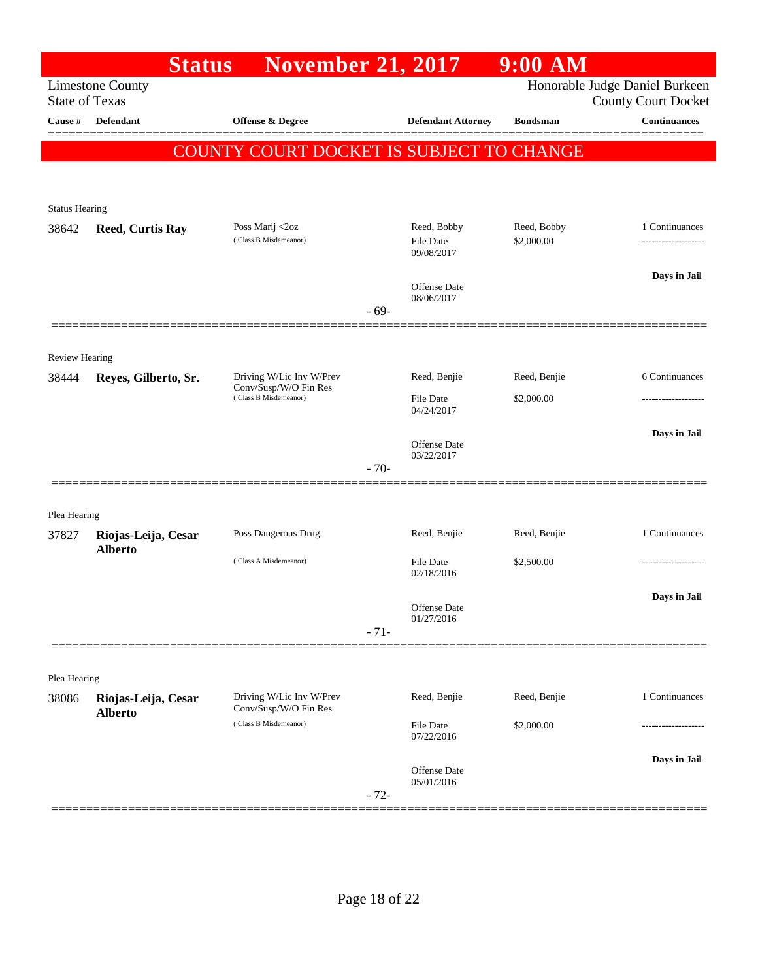|                       | <b>Status</b>                         | <b>November 21, 2017</b>                          |                                | 9:00 AM         |                                                              |
|-----------------------|---------------------------------------|---------------------------------------------------|--------------------------------|-----------------|--------------------------------------------------------------|
| <b>State of Texas</b> | <b>Limestone County</b>               |                                                   |                                |                 | Honorable Judge Daniel Burkeen<br><b>County Court Docket</b> |
| Cause #               | <b>Defendant</b>                      | <b>Offense &amp; Degree</b>                       | <b>Defendant Attorney</b>      | <b>Bondsman</b> | <b>Continuances</b>                                          |
|                       |                                       | COUNTY COURT DOCKET IS SUBJECT TO CHANGE          |                                |                 |                                                              |
|                       |                                       |                                                   |                                |                 |                                                              |
| <b>Status Hearing</b> |                                       |                                                   |                                |                 |                                                              |
| 38642                 | <b>Reed, Curtis Ray</b>               | Poss Marij <2oz                                   | Reed, Bobby                    | Reed, Bobby     | 1 Continuances                                               |
|                       |                                       | (Class B Misdemeanor)                             | <b>File Date</b><br>09/08/2017 | \$2,000.00      | ------------------                                           |
|                       |                                       |                                                   | Offense Date                   |                 | Days in Jail                                                 |
|                       |                                       | $-69-$                                            | 08/06/2017                     |                 |                                                              |
|                       |                                       |                                                   |                                |                 |                                                              |
| <b>Review Hearing</b> |                                       |                                                   |                                |                 |                                                              |
| 38444                 | Reyes, Gilberto, Sr.                  | Driving W/Lic Inv W/Prev<br>Conv/Susp/W/O Fin Res | Reed, Benjie                   | Reed, Benjie    | 6 Continuances                                               |
|                       |                                       | (Class B Misdemeanor)                             | File Date<br>04/24/2017        | \$2,000.00      |                                                              |
|                       |                                       |                                                   |                                |                 | Days in Jail                                                 |
|                       |                                       |                                                   | Offense Date<br>03/22/2017     |                 |                                                              |
|                       |                                       | $-70-$                                            |                                |                 |                                                              |
| Plea Hearing          |                                       |                                                   |                                |                 |                                                              |
| 37827                 | Riojas-Leija, Cesar                   | Poss Dangerous Drug                               | Reed, Benjie                   | Reed, Benjie    | 1 Continuances                                               |
|                       | <b>Alberto</b>                        | (Class A Misdemeanor)                             | File Date                      | \$2,500.00      |                                                              |
|                       |                                       |                                                   | 02/18/2016                     |                 |                                                              |
|                       |                                       |                                                   | Offense Date<br>01/27/2016     |                 | Days in Jail                                                 |
|                       |                                       | $-71-$                                            |                                |                 |                                                              |
|                       |                                       |                                                   |                                |                 |                                                              |
| Plea Hearing          |                                       |                                                   |                                |                 |                                                              |
| 38086                 | Riojas-Leija, Cesar<br><b>Alberto</b> | Driving W/Lic Inv W/Prev<br>Conv/Susp/W/O Fin Res | Reed, Benjie                   | Reed, Benjie    | 1 Continuances                                               |
|                       |                                       | (Class B Misdemeanor)                             | <b>File Date</b><br>07/22/2016 | \$2,000.00      |                                                              |
|                       |                                       |                                                   | Offense Date                   |                 | Days in Jail                                                 |
|                       |                                       | $-72-$                                            | 05/01/2016                     |                 |                                                              |
|                       |                                       |                                                   |                                |                 |                                                              |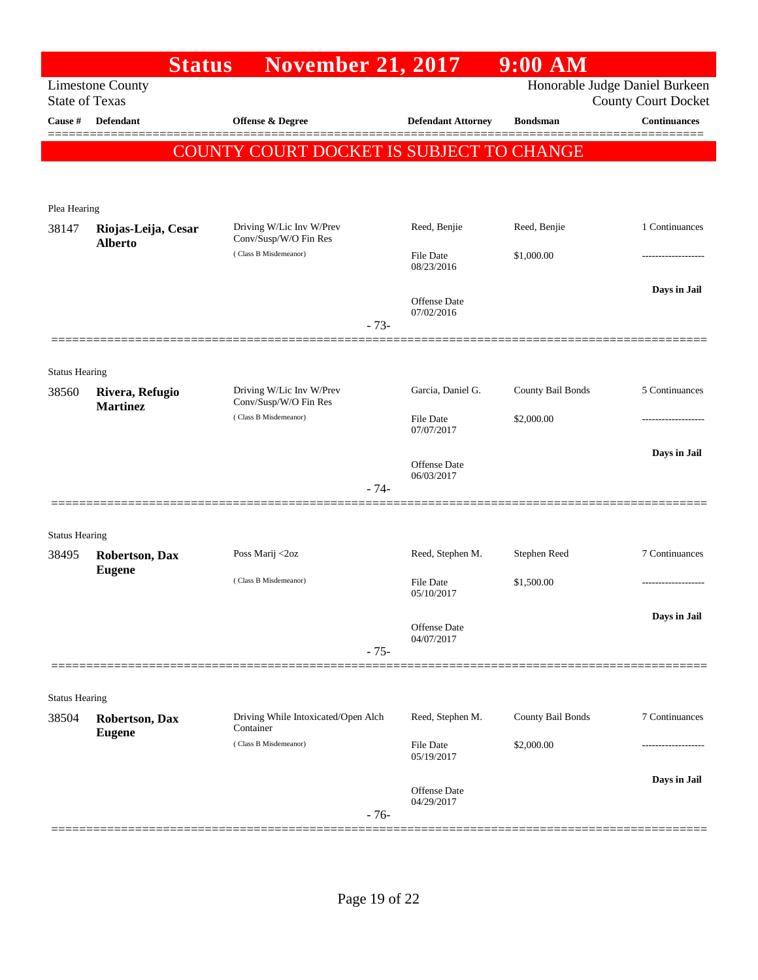|                                | <b>Status</b>                         | <b>November 21, 2017</b>                          |                                | 9:00 AM           |                                                              |
|--------------------------------|---------------------------------------|---------------------------------------------------|--------------------------------|-------------------|--------------------------------------------------------------|
| <b>State of Texas</b>          | <b>Limestone County</b>               |                                                   |                                |                   | Honorable Judge Daniel Burkeen<br><b>County Court Docket</b> |
| Cause #                        | Defendant                             | Offense & Degree                                  | <b>Defendant Attorney</b>      | <b>Bondsman</b>   | <b>Continuances</b>                                          |
|                                |                                       | COUNTY COURT DOCKET IS SUBJECT TO CHANGE          |                                |                   |                                                              |
|                                |                                       |                                                   |                                |                   |                                                              |
| Plea Hearing                   |                                       |                                                   |                                |                   |                                                              |
| 38147                          | Riojas-Leija, Cesar<br><b>Alberto</b> | Driving W/Lic Inv W/Prev<br>Conv/Susp/W/O Fin Res | Reed, Benjie                   | Reed, Benjie      | 1 Continuances                                               |
|                                |                                       | (Class B Misdemeanor)                             | <b>File Date</b><br>08/23/2016 | \$1,000.00        | .                                                            |
|                                |                                       |                                                   | Offense Date<br>07/02/2016     |                   | Days in Jail                                                 |
|                                |                                       | $-73-$                                            |                                |                   |                                                              |
|                                |                                       |                                                   |                                |                   |                                                              |
| <b>Status Hearing</b>          |                                       |                                                   |                                |                   |                                                              |
| 38560                          | Rivera, Refugio<br><b>Martinez</b>    | Driving W/Lic Inv W/Prev<br>Conv/Susp/W/O Fin Res | Garcia, Daniel G.              | County Bail Bonds | 5 Continuances                                               |
|                                |                                       | (Class B Misdemeanor)                             | <b>File Date</b><br>07/07/2017 | \$2,000.00        |                                                              |
|                                |                                       |                                                   | Offense Date<br>06/03/2017     |                   | Days in Jail                                                 |
|                                |                                       | $-74-$                                            |                                |                   |                                                              |
|                                |                                       |                                                   |                                |                   |                                                              |
| <b>Status Hearing</b><br>38495 | <b>Robertson, Dax</b>                 | Poss Marij <2oz                                   | Reed, Stephen M.               | Stephen Reed      | 7 Continuances                                               |
|                                | <b>Eugene</b>                         | (Class B Misdemeanor)                             | <b>File Date</b><br>05/10/2017 | \$1,500.00        | .                                                            |
|                                |                                       |                                                   | Offense Date                   |                   | Days in Jail                                                 |
|                                |                                       |                                                   | 04/07/2017                     |                   |                                                              |
|                                |                                       | $-75-$                                            |                                |                   |                                                              |
| <b>Status Hearing</b>          |                                       |                                                   |                                |                   |                                                              |
| 38504                          | Robertson, Dax<br><b>Eugene</b>       | Driving While Intoxicated/Open Alch<br>Container  | Reed, Stephen M.               | County Bail Bonds | 7 Continuances                                               |
|                                |                                       | (Class B Misdemeanor)                             | File Date<br>05/19/2017        | \$2,000.00        |                                                              |
|                                |                                       |                                                   |                                |                   | Days in Jail                                                 |
|                                |                                       | $-76-$                                            | 04/29/2017                     |                   |                                                              |
|                                |                                       |                                                   | Offense Date                   |                   |                                                              |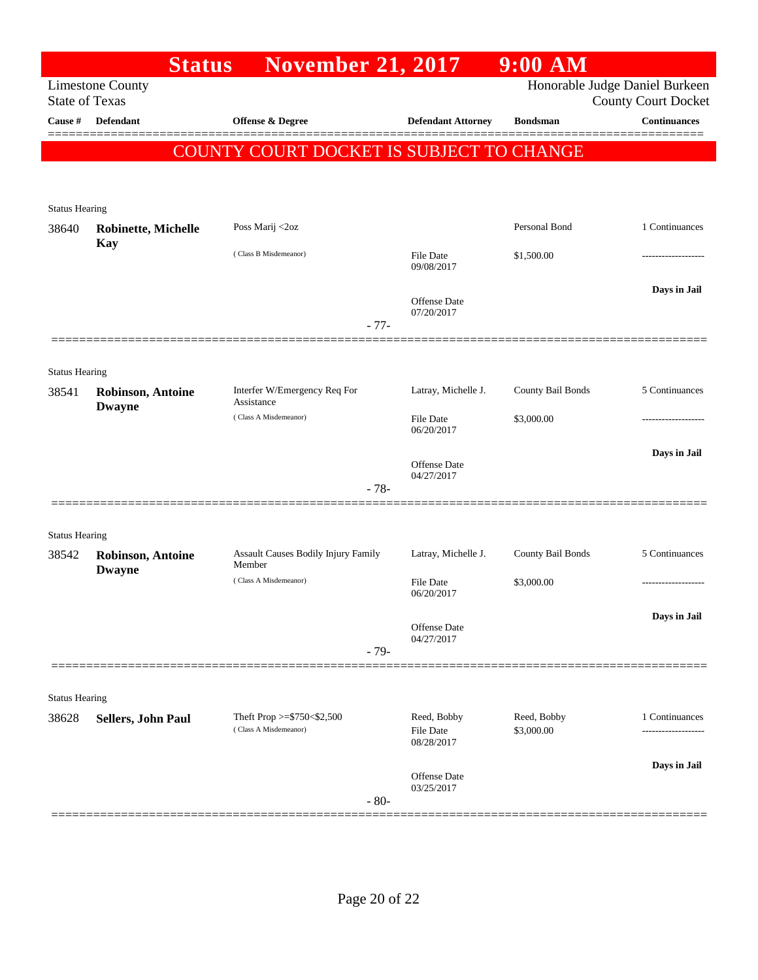|                                | <b>Status</b>                                    | <b>November 21, 2017</b>                        |                                   | $9:00$ AM         |                                                              |
|--------------------------------|--------------------------------------------------|-------------------------------------------------|-----------------------------------|-------------------|--------------------------------------------------------------|
|                                | <b>Limestone County</b><br><b>State of Texas</b> |                                                 |                                   |                   | Honorable Judge Daniel Burkeen<br><b>County Court Docket</b> |
| Cause #                        | <b>Defendant</b>                                 | Offense & Degree                                | <b>Defendant Attorney</b>         | <b>Bondsman</b>   | <b>Continuances</b>                                          |
|                                |                                                  | <b>COUNTY COURT DOCKET IS SUBJECT TO CHANGE</b> |                                   |                   |                                                              |
|                                |                                                  |                                                 |                                   |                   |                                                              |
|                                |                                                  |                                                 |                                   |                   |                                                              |
| <b>Status Hearing</b><br>38640 | Robinette, Michelle                              | Poss Marij <2oz                                 |                                   | Personal Bond     | 1 Continuances                                               |
|                                | Kay                                              |                                                 |                                   |                   |                                                              |
|                                |                                                  | (Class B Misdemeanor)                           | File Date<br>09/08/2017           | \$1,500.00        |                                                              |
|                                |                                                  |                                                 | Offense Date                      |                   | Days in Jail                                                 |
|                                |                                                  | $-77-$                                          | 07/20/2017                        |                   |                                                              |
|                                |                                                  |                                                 |                                   |                   |                                                              |
| <b>Status Hearing</b>          |                                                  |                                                 |                                   |                   |                                                              |
| 38541                          | <b>Robinson, Antoine</b>                         | Interfer W/Emergency Req For                    | Latray, Michelle J.               | County Bail Bonds | 5 Continuances                                               |
|                                | <b>Dwayne</b>                                    | Assistance<br>(Class A Misdemeanor)             | <b>File Date</b>                  | \$3,000.00        |                                                              |
|                                |                                                  |                                                 | 06/20/2017                        |                   |                                                              |
|                                |                                                  |                                                 | Offense Date                      |                   | Days in Jail                                                 |
|                                |                                                  | $-78-$                                          | 04/27/2017                        |                   |                                                              |
|                                | =================                                |                                                 |                                   |                   |                                                              |
| <b>Status Hearing</b>          |                                                  |                                                 |                                   |                   |                                                              |
| 38542                          | <b>Robinson, Antoine</b><br><b>Dwayne</b>        | Assault Causes Bodily Injury Family<br>Member   | Latray, Michelle J.               | County Bail Bonds | 5 Continuances                                               |
|                                |                                                  | (Class A Misdemeanor)                           | File Date<br>06/20/2017           | \$3,000.00        | .                                                            |
|                                |                                                  |                                                 |                                   |                   | Days in Jail                                                 |
|                                |                                                  |                                                 | Offense Date<br>04/27/2017        |                   |                                                              |
|                                |                                                  | $-79-$                                          |                                   |                   |                                                              |
|                                |                                                  |                                                 |                                   |                   |                                                              |
| <b>Status Hearing</b><br>38628 | Sellers, John Paul                               | Theft Prop >= $$750<$2,500$                     | Reed, Bobby                       | Reed, Bobby       | 1 Continuances                                               |
|                                |                                                  | (Class A Misdemeanor)                           | File Date<br>08/28/2017           | \$3,000.00        |                                                              |
|                                |                                                  |                                                 |                                   |                   | Days in Jail                                                 |
|                                |                                                  |                                                 | <b>Offense Date</b><br>03/25/2017 |                   |                                                              |
|                                |                                                  | $-80-$                                          |                                   |                   |                                                              |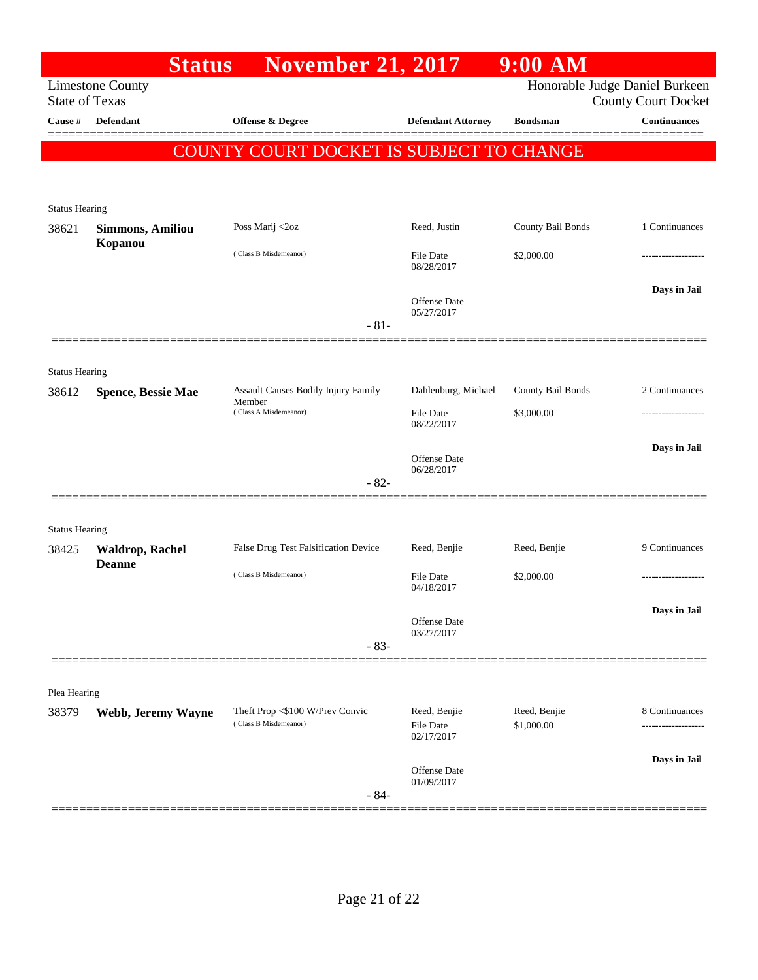|                       | <b>Status</b>                                    | <b>November 21, 2017</b>                                 |                                         | $9:00$ AM                  |                                                              |
|-----------------------|--------------------------------------------------|----------------------------------------------------------|-----------------------------------------|----------------------------|--------------------------------------------------------------|
|                       | <b>Limestone County</b><br><b>State of Texas</b> |                                                          |                                         |                            | Honorable Judge Daniel Burkeen<br><b>County Court Docket</b> |
| Cause #               | <b>Defendant</b>                                 | <b>Offense &amp; Degree</b>                              | <b>Defendant Attorney</b>               | <b>Bondsman</b>            | <b>Continuances</b>                                          |
|                       |                                                  | COUNTY COURT DOCKET IS SUBJECT TO CHANGE                 |                                         |                            |                                                              |
|                       |                                                  |                                                          |                                         |                            |                                                              |
| <b>Status Hearing</b> |                                                  |                                                          |                                         |                            |                                                              |
| 38621                 | <b>Simmons, Amiliou</b>                          | Poss Marij <2oz                                          | Reed, Justin                            | County Bail Bonds          | 1 Continuances                                               |
|                       | Kopanou                                          | (Class B Misdemeanor)                                    | File Date<br>08/28/2017                 | \$2,000.00                 |                                                              |
|                       |                                                  |                                                          | <b>Offense Date</b><br>05/27/2017       |                            | Days in Jail                                                 |
|                       |                                                  | $-81-$                                                   |                                         |                            |                                                              |
| <b>Status Hearing</b> |                                                  |                                                          |                                         |                            |                                                              |
| 38612                 | <b>Spence, Bessie Mae</b>                        | Assault Causes Bodily Injury Family<br>Member            | Dahlenburg, Michael                     | County Bail Bonds          | 2 Continuances                                               |
|                       |                                                  | (Class A Misdemeanor)                                    | <b>File Date</b><br>08/22/2017          | \$3,000.00                 |                                                              |
|                       |                                                  |                                                          | <b>Offense Date</b>                     |                            | Days in Jail                                                 |
|                       |                                                  | $-82-$                                                   | 06/28/2017                              |                            |                                                              |
|                       |                                                  |                                                          |                                         |                            |                                                              |
| <b>Status Hearing</b> |                                                  |                                                          |                                         |                            |                                                              |
| 38425                 | <b>Waldrop, Rachel</b><br><b>Deanne</b>          | False Drug Test Falsification Device                     | Reed, Benjie                            | Reed, Benjie               | 9 Continuances                                               |
|                       |                                                  | (Class B Misdemeanor)                                    | <b>File Date</b><br>04/18/2017          | \$2,000.00                 |                                                              |
|                       |                                                  |                                                          | Offense Date                            |                            | Days in Jail                                                 |
|                       |                                                  | $-83-$                                                   | 03/27/2017                              |                            |                                                              |
|                       |                                                  |                                                          |                                         |                            |                                                              |
| Plea Hearing          |                                                  |                                                          |                                         |                            |                                                              |
| 38379                 | Webb, Jeremy Wayne                               | Theft Prop <\$100 W/Prev Convic<br>(Class B Misdemeanor) | Reed, Benjie<br>File Date<br>02/17/2017 | Reed, Benjie<br>\$1,000.00 | 8 Continuances                                               |
|                       |                                                  | $-84-$                                                   | <b>Offense Date</b><br>01/09/2017       |                            | Days in Jail                                                 |